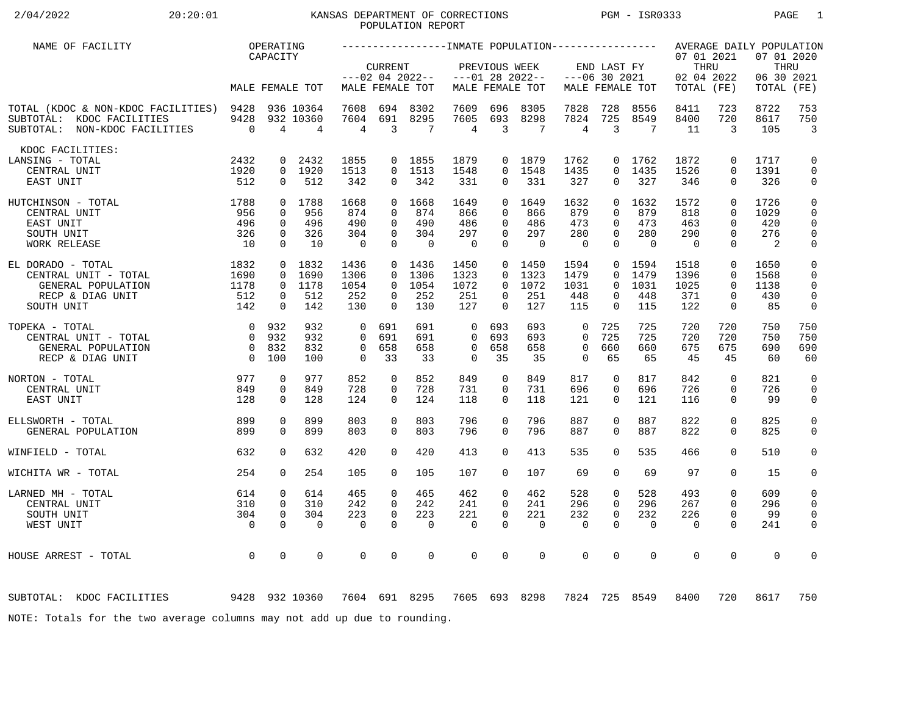# 2/04/2022 20:20:01 KANSAS DEPARTMENT OF CORRECTIONS PGM - ISR0333 PAGE 1 POPULATION REPORT

| NAME OF FACILITY                                                                                      |                        | OPERATING                |                                          |                                |                              |                                 |                       |                      |                   |                                |                      |                   |                                  |                      | AVERAGE DAILY POPULATION         |                              |
|-------------------------------------------------------------------------------------------------------|------------------------|--------------------------|------------------------------------------|--------------------------------|------------------------------|---------------------------------|-----------------------|----------------------|-------------------|--------------------------------|----------------------|-------------------|----------------------------------|----------------------|----------------------------------|------------------------------|
|                                                                                                       |                        | CAPACITY                 |                                          |                                | <b>CURRENT</b>               | $---02$ 04 2022--               |                       | PREVIOUS WEEK        | $---01$ 28 2022-- | $---06$ 30 2021                | END LAST FY          |                   | 07 01 2021<br>THRU<br>02 04 2022 |                      | 07 01 2020<br>THRU<br>06 30 2021 |                              |
|                                                                                                       |                        |                          | MALE FEMALE TOT                          |                                |                              | MALE FEMALE TOT                 |                       |                      | MALE FEMALE TOT   |                                |                      | MALE FEMALE TOT   | TOTAL (FE)                       |                      | TOTAL                            | (FE)                         |
| TOTAL (KDOC & NON-KDOC FACILITIES) 9428<br>SUBTOTAL: KDOC FACILITIES<br>SUBTOTAL: NON-KDOC FACILITIES | 9428<br>$\overline{0}$ | $\overline{4}$           | 936 10364<br>932 10360<br>$\overline{4}$ | 7608<br>7604<br>$\overline{4}$ | 694<br>691<br>$\overline{3}$ | 8302<br>8295<br>$7\phantom{.0}$ | 7609<br>7605<br>4     | 696<br>693<br>3      | 8305<br>8298<br>7 | 7828<br>7824<br>$\overline{4}$ | 728<br>725<br>3      | 8556<br>8549<br>7 | 8411<br>8400<br>11               | 723<br>720<br>3      | 8722<br>8617<br>105              | 753<br>750<br>$\overline{3}$ |
| KDOC FACILITIES:                                                                                      |                        |                          |                                          |                                |                              |                                 |                       |                      |                   |                                |                      |                   |                                  |                      |                                  |                              |
| LANSING - TOTAL                                                                                       | 2432                   | $\mathbf{0}$             | 2432                                     | 1855                           |                              | 0 1855                          | 1879                  |                      | 0 1879            | 1762                           |                      | 0 1762            | 1872                             | $\mathbf 0$          | 1717                             | $\mathbf 0$                  |
| CENTRAL UNIT                                                                                          | 1920                   |                          | 0 1920                                   | 1513                           |                              | $0$ 1513                        | 1548                  | $\Omega$             | 1548              | 1435                           | $\Omega$             | 1435              | 1526                             | $\Omega$             | 1391                             | $\mathbf 0$                  |
| EAST UNIT                                                                                             | 512                    | $\mathbf{0}$             | 512                                      | 342                            | $\overline{0}$               | 342                             | 331                   | $\overline{0}$       | 331               | 327                            | 0                    | 327               | 346                              | $\mathbf{0}$         | 326                              | 0                            |
| $\begin{array}{c} 1788 \\ 956 \\ 496 \\ 326 \\ 10 \end{array}$<br>HUTCHINSON - TOTAL                  |                        |                          | 0 1788                                   | 1668                           |                              | 0, 1668                         | 1649                  |                      | 0, 1649           | 1632                           | $\Omega$             | 1632              | 1572                             | $\Omega$             | 1726                             | $\mathsf 0$                  |
| CENTRAL UNIT                                                                                          |                        | $\Omega$                 | 956                                      | 874                            | $\Omega$                     | 874                             | 866                   | $\Omega$             | 866               | 879                            | $\Omega$             | 879               | 818                              | $\Omega$             | 1029                             | $\mathbf 0$                  |
| EAST UNIT                                                                                             |                        | $\mathbf 0$              | 496                                      | 490                            | $\Omega$                     | 490                             | 486                   | $\Omega$             | 486               | 473                            | $\Omega$             | 473               | 463                              | $\Omega$             | 420                              | $\mathbf 0$                  |
| SOUTH UNIT                                                                                            |                        | $\mathbf{0}$<br>$\Omega$ | 326<br>10                                | 304<br>$\overline{0}$          | $\Omega$<br>$\Omega$         | 304<br>$\overline{0}$           | 297<br>$\overline{0}$ | $\Omega$<br>$\Omega$ | 297<br>$\Omega$   | 280<br>$\Omega$                | $\Omega$<br>$\Omega$ | 280<br>$\bigcap$  | 290<br>$\Omega$                  | $\Omega$<br>$\Omega$ | 276<br>$\overline{2}$            | $\mathbf 0$                  |
| WORK RELEASE                                                                                          |                        |                          |                                          |                                |                              |                                 |                       |                      |                   |                                |                      |                   |                                  |                      |                                  | 0                            |
| EL DORADO - TOTAL                                                                                     | 1832                   |                          | $0$ 1832                                 | 1436                           |                              | 0, 1436                         | 1450                  |                      | $0$ 1450          | 1594                           | $\overline{0}$       | 1594              | 1518                             | $\mathbf 0$          | 1650                             | $\mathbf 0$                  |
| CENTRAL UNIT - TOTAL                                                                                  | 1690                   | $\Omega$                 | 1690                                     | 1306                           | $\Omega$                     | 1306                            | 1323                  | $\Omega$             | 1323              | 1479                           | $\Omega$             | 1479              | 1396                             | $\Omega$             | 1568                             | $\mathbf 0$                  |
| GENERAL POPULATION                                                                                    | 1178                   |                          | 0 1178                                   | 1054                           | $\Omega$                     | 1054                            | 1072                  | $\Omega$             | 1072              | 1031                           | $\Omega$             | 1031              | 1025                             | $\Omega$             | 1138                             | $\Omega$                     |
| RECP & DIAG UNIT                                                                                      | 512                    | $\mathbf{0}$             | 512                                      | 252                            | $\Omega$                     | 252                             | 251                   | $\Omega$             | 251               | 448                            | 0                    | 448               | 371                              | $\mathbf 0$          | 430                              | $\mathsf{O}$                 |
| SOUTH UNIT                                                                                            | 142                    | $\Omega$                 | 142                                      | 130                            | $\Omega$                     | 130                             | 127                   | $\Omega$             | 127               | 115                            | $\Omega$             | 115               | 122                              | $\mathbf 0$          | 85                               | 0                            |
| TOPEKA - TOTAL                                                                                        | 0 932                  |                          | 932                                      | $\overline{0}$                 | 691                          | 691                             | $\mathbf 0$           | 693                  | 693               | $\mathbf 0$                    | 725                  | 725               | 720                              | 720                  | 750                              | 750                          |
| CENTRAL UNIT - TOTAL                                                                                  | $\overline{0}$         | 932                      | 932                                      | $\Omega$                       | 691                          | 691                             | $\Omega$              | 693                  | 693               | $\Omega$                       | 725                  | 725               | 720                              | 720                  | 750                              | 750                          |
| GENERAL POPULATION                                                                                    |                        | 0 832                    | 832                                      | $\mathbf 0$                    | 658                          | 658                             | $\mathbf 0$           | 658                  | 658               | $\mathbf 0$                    | 660                  | 660               | 675                              | 675                  | 690                              | 690                          |
| RECP & DIAG UNIT                                                                                      | $\overline{0}$         | 100                      | 100                                      | $\Omega$                       | 33                           | 33                              | $\Omega$              | 35                   | 35                | $\Omega$                       | 65                   | 65                | 45                               | 45                   | 60                               | 60                           |
| 977<br>NORTON - TOTAL                                                                                 |                        | 0                        | 977                                      | 852                            | $\mathbf 0$                  | 852                             | 849                   | $\mathbf 0$          | 849               | 817                            | 0                    | 817               | 842                              | $\mathbf 0$          | 821                              | $\mathbf 0$                  |
| CENTRAL UNIT                                                                                          | 849                    | 0                        | 849                                      | 728                            | 0                            | 728                             | 731                   | 0                    | 731               | 696                            | 0                    | 696               | 726                              | $\mathbf 0$          | 726                              | $\mathbf 0$                  |
| EAST UNIT                                                                                             | 128                    | $\Omega$                 | 128                                      | 124                            | $\Omega$                     | 124                             | 118                   | $\Omega$             | 118               | 121                            | $\Omega$             | 121               | 116                              | $\Omega$             | 99                               | 0                            |
|                                                                                                       |                        |                          |                                          |                                |                              |                                 |                       |                      |                   |                                |                      |                   |                                  |                      |                                  |                              |
| ELLSWORTH - TOTAL                                                                                     | 899                    | 0                        | 899                                      | 803                            | $\Omega$                     | 803                             | 796                   | $\Omega$             | 796               | 887                            | $\Omega$             | 887               | 822                              | $\mathbf 0$          | 825                              | $\mathsf{O}$                 |
| GENERAL POPULATION                                                                                    | 899                    | $\Omega$                 | 899                                      | 803                            | $\Omega$                     | 803                             | 796                   | $\Omega$             | 796               | 887                            | $\Omega$             | 887               | 822                              | $\Omega$             | 825                              | $\mathbf 0$                  |
| WINFIELD - TOTAL                                                                                      | 632                    | $\Omega$                 | 632                                      | 420                            | $\Omega$                     | 420                             | 413                   | $\Omega$             | 413               | 535                            | $\Omega$             | 535               | 466                              | $\Omega$             | 510                              | $\mathbf 0$                  |
| WICHITA WR - TOTAL                                                                                    | 254                    | $\Omega$                 | 254                                      | 105                            | $\Omega$                     | 105                             | 107                   | $\Omega$             | 107               | 69                             | 0                    | 69                | 97                               | $\Omega$             | 15                               | 0                            |
| LARNED MH - TOTAL                                                                                     | 614                    | $\mathbf 0$              | 614                                      | 465                            | $\mathbf 0$                  | 465                             | 462                   | $\mathbf 0$          | 462               | 528                            | 0                    | 528               | 493                              | $\mathbf 0$          | 609                              | 0                            |
| CENTRAL UNIT                                                                                          | 310                    | $\mathbf{0}$             | 310                                      | 242                            | $\Omega$                     | 242                             | 241                   | $\Omega$             | 241               | 296                            | $\Omega$             | 296               | 267                              | $\Omega$             | 296                              | 0                            |
| SOUTH UNIT                                                                                            | 304                    | $\mathbf 0$              | 304                                      | 223                            | $\mathbf 0$                  | 223                             | 221                   | 0                    | 221               | 232                            | $\mathbf 0$          | 232               | 226                              | $\mathbf 0$          | 99                               | $\mathbf 0$                  |
| WEST UNIT                                                                                             | $\overline{0}$         | $\Omega$                 | $\Omega$                                 | $\Omega$                       | $\Omega$                     | $\mathbf 0$                     | $\mathbf 0$           | $\Omega$             | $\Omega$          | $\mathbf 0$                    | $\Omega$             | $\Omega$          | $\overline{0}$                   | $\Omega$             | 241                              | 0                            |
|                                                                                                       |                        |                          |                                          |                                |                              |                                 |                       |                      |                   |                                |                      |                   |                                  |                      |                                  |                              |
| HOUSE ARREST - TOTAL                                                                                  | $\overline{0}$         | $\mathbf 0$              | 0                                        | $\mathbf 0$                    | $\mathbf 0$                  | $\mathbf 0$                     | $\mathbf 0$           | 0                    | $\mathbf 0$       | $\mathbf 0$                    | 0                    | $\mathbf 0$       | $\mathbf 0$                      | $\mathbf 0$          | $\mathbf 0$                      | 0                            |
|                                                                                                       |                        |                          |                                          |                                |                              |                                 |                       |                      |                   |                                |                      |                   |                                  |                      |                                  |                              |
| 9428 932 10360<br>SUBTOTAL: KDOC FACILITIES                                                           |                        |                          |                                          | 7604 691 8295                  |                              |                                 |                       |                      | 7605 693 8298     |                                |                      | 7824 725 8549     | 8400                             | 720                  | 8617                             | 750                          |
| NOTE: Totals for the two average columns may not add up due to rounding.                              |                        |                          |                                          |                                |                              |                                 |                       |                      |                   |                                |                      |                   |                                  |                      |                                  |                              |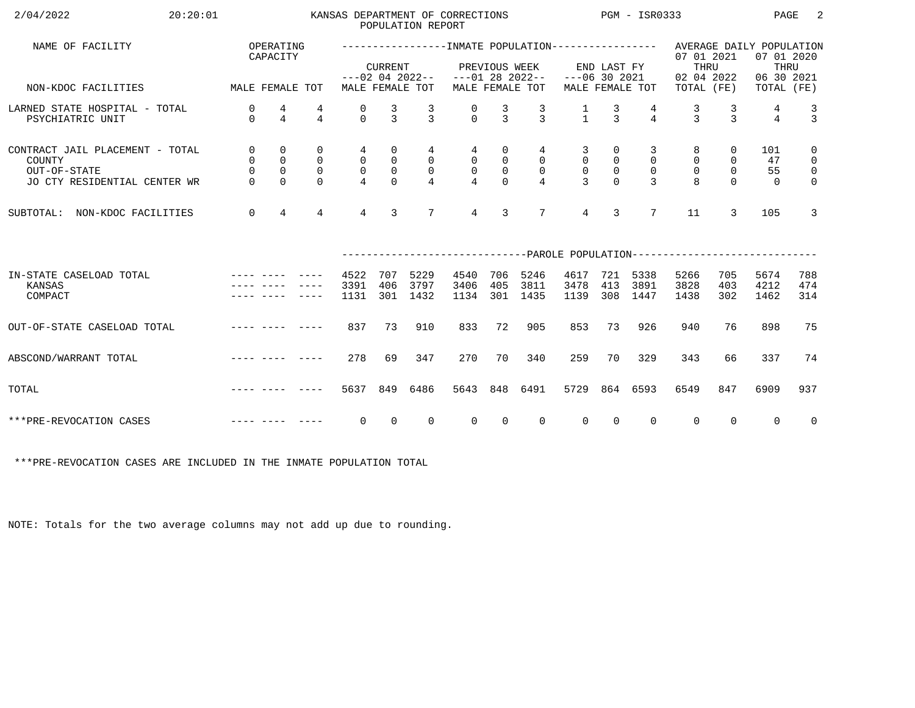| 20:20:01<br>2/04/2022                                                                     |                                      |                                              |                                                          |                                                     |                                               | POPULATION REPORT                     | KANSAS DEPARTMENT OF CORRECTIONS  |                                              |                                         |                                                 |                                              | PGM - ISR0333                                |                                                                     |                                   | PAGE                                                         | 2                                                            |
|-------------------------------------------------------------------------------------------|--------------------------------------|----------------------------------------------|----------------------------------------------------------|-----------------------------------------------------|-----------------------------------------------|---------------------------------------|-----------------------------------|----------------------------------------------|-----------------------------------------|-------------------------------------------------|----------------------------------------------|----------------------------------------------|---------------------------------------------------------------------|-----------------------------------|--------------------------------------------------------------|--------------------------------------------------------------|
| NAME OF FACILITY                                                                          |                                      | OPERATING<br>CAPACITY                        |                                                          |                                                     | <b>CURRENT</b>                                | $---02$ 04 2022--                     |                                   | PREVIOUS WEEK                                | $---01 28 2022--$                       | $---06$ 30 2021                                 | END LAST FY                                  |                                              | 07 01 2021<br>THRU<br>02 04 2022                                    |                                   | AVERAGE DAILY POPULATION<br>07 01 2020<br>THRU<br>06 30 2021 |                                                              |
| NON-KDOC FACILITIES                                                                       | MALE FEMALE TOT                      |                                              |                                                          |                                                     |                                               | MALE FEMALE TOT                       |                                   |                                              | MALE FEMALE TOT                         |                                                 |                                              | MALE FEMALE TOT                              | TOTAL (FE)                                                          |                                   | TOTAL (FE)                                                   |                                                              |
| LARNED STATE HOSPITAL - TOTAL<br>PSYCHIATRIC UNIT                                         | 0<br>$\Omega$                        | 4<br>$\overline{4}$                          | $\overline{4}$                                           | 0<br>$\Omega$                                       | $\frac{3}{3}$                                 | $\frac{3}{3}$                         | $\frac{0}{0}$                     | $\frac{3}{3}$                                | $\frac{3}{3}$                           | $\frac{1}{1}$                                   | $\frac{3}{3}$                                | $\overline{4}$                               | $\frac{3}{3}$                                                       | 3<br>$\mathbf{z}$                 | 4<br>$\overline{4}$                                          | $\frac{3}{3}$                                                |
| CONTRACT JAIL PLACEMENT - TOTAL<br>COUNTY<br>OUT-OF-STATE<br>JO CTY RESIDENTIAL CENTER WR | 0<br>0<br>$\overline{0}$<br>$\Omega$ | 0<br>$\mathsf{O}$<br>$\mathbf 0$<br>$\Omega$ | $\mathbf 0$<br>$\overline{0}$<br>$\mathbf 0$<br>$\Omega$ | 4<br>$\mathsf{O}$<br>$\mathsf{O}$<br>$\overline{4}$ | 0<br>$\mathsf{O}$<br>$\mathsf{O}$<br>$\Omega$ | 4<br>$\overline{0}$<br>$\overline{0}$ | 4<br>$\mathsf{O}$<br>$\mathsf{O}$ | 0<br>$\mathbf 0$<br>$\mathsf{O}$<br>$\Omega$ | 4<br>0<br>$\mathbf 0$<br>$\overline{4}$ | 3<br>$\mathbf 0$<br>$\mathbf 0$<br>$\mathbf{3}$ | 0<br>$\mathsf{O}$<br>$\mathbb O$<br>$\Omega$ | 3<br>$\mathbf 0$<br>$\Omega$<br>$\mathbf{3}$ | 8<br>$\mathbf 0$<br>$\mathbf 0$<br>$\mathsf{R}$                     | 0<br>0<br>$\mathbf 0$<br>$\Omega$ | 101<br>47<br>55<br>$\Omega$                                  | $\mathbf 0$<br>$\mathsf{O}$<br>$\mathsf 0$<br>$\overline{0}$ |
| SUBTOTAL:<br>NON-KDOC FACILITIES                                                          | $\overline{0}$                       | $\overline{4}$                               | $\overline{4}$                                           | $\overline{4}$                                      | 3                                             | $7\overline{ }$                       | $\overline{4}$                    | 3                                            | 7                                       | $\overline{4}$                                  | 3                                            | $7\phantom{.0}$                              | 11                                                                  | 3                                 | 105                                                          | 3                                                            |
|                                                                                           |                                      |                                              |                                                          |                                                     |                                               |                                       |                                   |                                              |                                         |                                                 |                                              |                                              | --------------------------PAROLE POPULATION------------------------ |                                   |                                                              |                                                              |
| IN-STATE CASELOAD TOTAL<br>KANSAS<br>COMPACT                                              |                                      |                                              |                                                          | 4522<br>3391<br>1131                                | 707<br>406<br>301                             | 5229<br>3797<br>1432                  | 4540<br>3406<br>1134              | 706<br>405<br>301                            | 5246<br>3811<br>1435                    | 4617<br>3478<br>1139                            | 721<br>413<br>308                            | 5338<br>3891<br>1447                         | 5266<br>3828<br>1438                                                | 705<br>403<br>302                 | 5674<br>4212<br>1462                                         | 788<br>474<br>314                                            |
| OUT-OF-STATE CASELOAD TOTAL                                                               |                                      |                                              | $- - - - -$                                              | 837                                                 | 73                                            | 910                                   | 833                               | 72                                           | 905                                     | 853                                             | 73                                           | 926                                          | 940                                                                 | 76                                | 898                                                          | 75                                                           |
| ABSCOND/WARRANT TOTAL                                                                     |                                      |                                              |                                                          | 278                                                 | 69                                            | 347                                   | 270                               | 70                                           | 340                                     | 259                                             | 70                                           | 329                                          | 343                                                                 | 66                                | 337                                                          | 74                                                           |
| TOTAL                                                                                     |                                      |                                              |                                                          | 5637                                                | 849                                           | 6486                                  | 5643                              | 848                                          | 6491                                    | 5729                                            |                                              | 864 6593                                     | 6549                                                                | 847                               | 6909                                                         | 937                                                          |
| ***PRE-REVOCATION CASES                                                                   |                                      |                                              |                                                          | $\mathbf 0$                                         | $\Omega$                                      | $\Omega$                              | $\overline{0}$                    | $\Omega$                                     | $\Omega$                                | $\Omega$                                        | $\Omega$                                     | $\Omega$                                     | $\Omega$                                                            | $\Omega$                          | $\Omega$                                                     | $\overline{0}$                                               |

\*\*\*PRE-REVOCATION CASES ARE INCLUDED IN THE INMATE POPULATION TOTAL

NOTE: Totals for the two average columns may not add up due to rounding.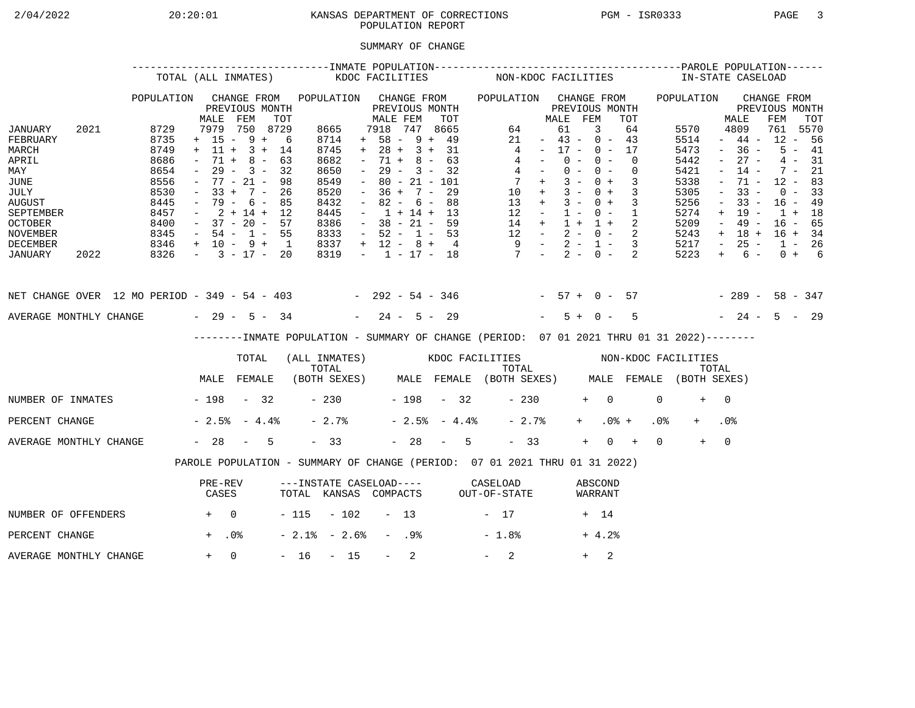## 2/04/2022 20:20:01 KANSAS DEPARTMENT OF CORRECTIONS PGM - ISR0333 PAGE 3POPULATION REPORT

## SUMMARY OF CHANGE

|                                                                                                                                        |      |                                                                                      | TOTAL (ALL INMATES)                                                                                                                                          |                                                 |     |                                                                                             | KDOC FACILITIES     |                                                                                                                                                                          |                  |                                                                    |     |                | NON-KDOC FACILITIES                                                                                                                            |                                                                                                 |                                  |                |            |                          |                            |                 | IN-STATE CASELOAD                                                                    |                                                                                                           |                                                                                                       |                                                                                       |                                              |  |
|----------------------------------------------------------------------------------------------------------------------------------------|------|--------------------------------------------------------------------------------------|--------------------------------------------------------------------------------------------------------------------------------------------------------------|-------------------------------------------------|-----|---------------------------------------------------------------------------------------------|---------------------|--------------------------------------------------------------------------------------------------------------------------------------------------------------------------|------------------|--------------------------------------------------------------------|-----|----------------|------------------------------------------------------------------------------------------------------------------------------------------------|-------------------------------------------------------------------------------------------------|----------------------------------|----------------|------------|--------------------------|----------------------------|-----------------|--------------------------------------------------------------------------------------|-----------------------------------------------------------------------------------------------------------|-------------------------------------------------------------------------------------------------------|---------------------------------------------------------------------------------------|----------------------------------------------|--|
|                                                                                                                                        |      | POPULATION                                                                           | MALE                                                                                                                                                         | CHANGE FROM<br>PREVIOUS MONTH<br>FEM            | TOT | POPULATION CHANGE FROM                                                                      |                     | MALE FEM                                                                                                                                                                 |                  | PREVIOUS MONTH                                                     | TOT |                | POPULATION CHANGE FROM                                                                                                                         |                                                                                                 | MALE FEM                         | PREVIOUS MONTH |            |                          | TOT                        |                 | POPULATION                                                                           |                                                                                                           | MALE                                                                                                  | CHANGE FROM<br>PREVIOUS MONTH<br>FEM                                                  | TOT                                          |  |
| JANUARY<br>FEBRUARY<br>MARCH<br>APRIL<br>MAY<br>JUNE<br>JULY<br><b>AUGUST</b><br>SEPTEMBER<br><b>OCTOBER</b><br>NOVEMBER               | 2021 | 8729<br>8735<br>8749<br>8686<br>8654<br>8556<br>8530<br>8445<br>8457<br>8400<br>8345 | $+ 15 - 9 + 6$<br>$+ 11 + 3 + 14$<br>$\sim$<br>$\sim$<br>$-77 - 21 -$<br>$-33 + 7 - 26$<br>$-79 - 6 - 85$<br>$-2+14+12$<br>$-37 - 20 - 57$<br>$-54 - 1 - 55$ | 7979 750 8729<br>$71 + 8 - 63$<br>$29 - 3 - 32$ | 98  | 8665<br>8714<br>8745<br>8682<br>8650<br>8549<br>8520<br>8432<br>8445<br>8386<br>8333        |                     | 7918 747 8665<br>$+ 58 - 9 + 49$<br>$+ 28 + 3 + 31$<br>$\sim$<br>$\sim$ $-$<br>$\sim$<br>$-36 + 7 - 29$<br>$\sim$<br>$-1 + 14 + 13$<br>$-38 - 21 - 59$<br>$-52 - 1 - 53$ |                  | $71 + 8 - 63$<br>$29 - 3 - 32$<br>$80 - 21 - 101$<br>$82 - 6 - 88$ |     |                | $\overline{4}$<br>$\begin{array}{ccccccccc} 14 & + & 1 & + & 1 & + & 2 \\ 12 & - & 2 & - & 0 & - & 2 \\ 9 & - & 2 & - & 1 & - & 3 \end{array}$ | 64<br>21<br>$4 -$<br>$4 -$<br>$7 +$<br>$10 + 3 - 0 + 3$<br>$13 + 3 - 0 + 3$<br>$12 - 1 - 0 - 1$ | $-43 - 0 - 43$<br>$-17 - 0 - 17$ | 61<br>$0 -$    | 3<br>$0 -$ | $0 - 0 -$<br>$3 - 0 + 3$ | 64<br>$\Omega$<br>$\Omega$ |                 | 5570<br>5514<br>5473<br>5442<br>5421<br>5338<br>5305<br>5256<br>5274<br>5209<br>5243 | $\sim$<br>$\sim$<br>$\overline{\phantom{a}}$<br>$\equiv$<br>$\overline{\phantom{a}}$<br>$+$<br>$\sim$ $-$ | 4809<br>$-44-$<br>$-36 -$<br>$27 -$<br>$14 -$<br>71 -<br>$33 -$<br>$33 -$<br>19 -<br>49 -<br>$+ 18 +$ | 761 5570<br>$12 - 56$<br>$12 - 83$<br>$16 - 49$<br>$1 + 18$<br>$16 - 65$<br>$16 + 34$ | $5 - 41$<br>$4 - 31$<br>$7 - 21$<br>$0 - 33$ |  |
| DECEMBER<br>JANUARY                                                                                                                    | 2022 | $8346 + 10 - 9 + 1$<br>$8326 - 3 - 17 - 20$                                          |                                                                                                                                                              |                                                 |     | 8337<br>8319                                                                                |                     | $+ 12 - 8 + 4$                                                                                                                                                           |                  |                                                                    |     |                | $-1$ $-17$ $-18$ $7$ $-2$ $-0$ $-2$                                                                                                            |                                                                                                 |                                  |                |            |                          |                            |                 | 5217<br>5223                                                                         | $\sim$ $-$<br>$+$                                                                                         | $25 -$<br>$6 -$                                                                                       | $1 - 26$                                                                              | $0 + 6$                                      |  |
| NET CHANGE OVER 12 MO PERIOD - 349 - 54 - 403 - 292 - 54 - 346 - 57 + 0 - 57 - 289 - 58 - 347<br>AVERAGE MONTHLY CHANGE $-29 - 5 - 34$ |      |                                                                                      |                                                                                                                                                              |                                                 |     |                                                                                             |                     | $-24 - 5 - 29$                                                                                                                                                           |                  |                                                                    |     |                |                                                                                                                                                |                                                                                                 |                                  | $5 + 0 -$      |            |                          | $5^{\circ}$                |                 | $-24 - 5 - 29$                                                                       |                                                                                                           |                                                                                                       |                                                                                       |                                              |  |
|                                                                                                                                        |      |                                                                                      |                                                                                                                                                              |                                                 |     | --------INMATE POPULATION - SUMMARY OF CHANGE (PERIOD: 07 01 2021 THRU 01 31 2022)--------  |                     |                                                                                                                                                                          |                  |                                                                    |     |                |                                                                                                                                                |                                                                                                 |                                  |                |            |                          |                            |                 |                                                                                      |                                                                                                           |                                                                                                       |                                                                                       |                                              |  |
|                                                                                                                                        |      |                                                                                      |                                                                                                                                                              | TOTAL                                           |     | (ALL INMATES) WOOC FACILITIES NON-KDOC FACILITIES                                           |                     |                                                                                                                                                                          |                  |                                                                    |     |                |                                                                                                                                                |                                                                                                 |                                  |                |            |                          |                            |                 |                                                                                      |                                                                                                           |                                                                                                       |                                                                                       |                                              |  |
|                                                                                                                                        |      |                                                                                      | MALE FEMALE                                                                                                                                                  |                                                 |     | TOTAL TOTAL TOTAL TOTAL TOTAL TOTAL TOTAL TOTAL TOTAL (BOTH SEXES) MALE FEMALE (BOTH SEXES) |                     |                                                                                                                                                                          |                  |                                                                    |     |                |                                                                                                                                                |                                                                                                 |                                  |                |            |                          |                            |                 |                                                                                      |                                                                                                           |                                                                                                       |                                                                                       |                                              |  |
| NUMBER OF INMATES - 198 - 32                                                                                                           |      |                                                                                      |                                                                                                                                                              |                                                 |     |                                                                                             | $-230$ $-198$ $-32$ |                                                                                                                                                                          |                  |                                                                    |     |                |                                                                                                                                                | $-230$                                                                                          |                                  |                | $+ 0$      |                          |                            | $\Omega$        | $+$                                                                                  | $\bigcap$                                                                                                 |                                                                                                       |                                                                                       |                                              |  |
| PERCENT CHANGE                                                                                                                         |      |                                                                                      | $-2.5$ $-4.4$ $-$                                                                                                                                            |                                                 |     | $-2.7%$                                                                                     |                     |                                                                                                                                                                          |                  |                                                                    |     | $-2.5% - 4.4%$ |                                                                                                                                                | $-2.7%$                                                                                         |                                  |                | $+$ $-$    | $.0%$ +                  |                            | .0 <sub>8</sub> |                                                                                      | .0 <sub>8</sub>                                                                                           |                                                                                                       |                                                                                       |                                              |  |
| AVERAGE MONTHLY CHANGE                                                                                                                 |      |                                                                                      | $-28 - 5$                                                                                                                                                    |                                                 |     | $-33$                                                                                       |                     |                                                                                                                                                                          |                  |                                                                    |     | $-28 - 5$      |                                                                                                                                                | $-33$                                                                                           |                                  |                | $+$        | $0 +$                    |                            | $\Omega$        | $+$                                                                                  | $\overline{0}$                                                                                            |                                                                                                       |                                                                                       |                                              |  |
|                                                                                                                                        |      |                                                                                      | PAROLE POPULATION - SUMMARY OF CHANGE (PERIOD: 07 01 2021 THRU 01 31 2022)                                                                                   |                                                 |     |                                                                                             |                     |                                                                                                                                                                          |                  |                                                                    |     |                |                                                                                                                                                |                                                                                                 |                                  |                |            |                          |                            |                 |                                                                                      |                                                                                                           |                                                                                                       |                                                                                       |                                              |  |
|                                                                                                                                        |      |                                                                                      | PRE-REV<br>CASES                                                                                                                                             |                                                 |     | ---INSTATE CASELOAD---- CASELOAD<br>TOTAL KANSAS COMPACTS OUT-OF-STATE                      |                     |                                                                                                                                                                          |                  |                                                                    |     |                |                                                                                                                                                |                                                                                                 |                                  |                |            | ABSCOND<br>WARRANT       |                            |                 |                                                                                      |                                                                                                           |                                                                                                       |                                                                                       |                                              |  |
| NUMBER OF OFFENDERS                                                                                                                    |      | $+$ 0                                                                                |                                                                                                                                                              |                                                 |     | $-115 - 102 - 13$                                                                           |                     |                                                                                                                                                                          |                  |                                                                    |     |                | $-17$                                                                                                                                          |                                                                                                 |                                  |                | + 14       |                          |                            |                 |                                                                                      |                                                                                                           |                                                                                                       |                                                                                       |                                              |  |
| PERCENT CHANGE                                                                                                                         |      |                                                                                      | $+$ .0%                                                                                                                                                      |                                                 |     | $-2.1$ % $-2.6$ %                                                                           |                     |                                                                                                                                                                          | - .98            |                                                                    |     |                | $-1.8%$                                                                                                                                        |                                                                                                 |                                  |                |            | $+4.2%$                  |                            |                 |                                                                                      |                                                                                                           |                                                                                                       |                                                                                       |                                              |  |
| AVERAGE MONTHLY CHANGE                                                                                                                 |      |                                                                                      | $+ 0$                                                                                                                                                        |                                                 |     | $-16 - 15$                                                                                  |                     |                                                                                                                                                                          | $\sim$ 100 $\mu$ | 2                                                                  |     |                | $-2$                                                                                                                                           |                                                                                                 |                                  |                | $+$        | 2                        |                            |                 |                                                                                      |                                                                                                           |                                                                                                       |                                                                                       |                                              |  |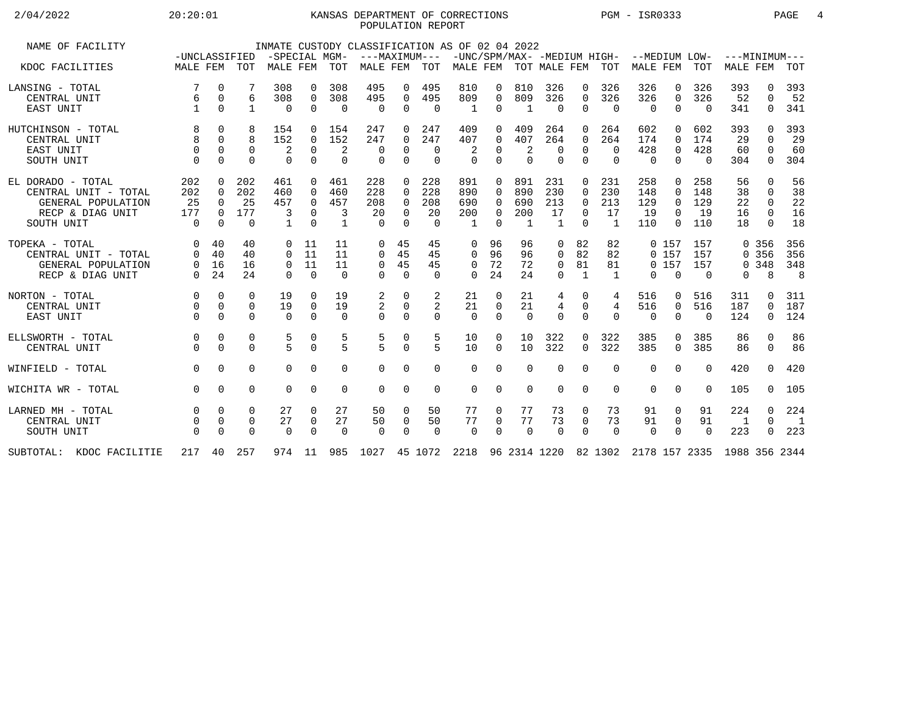## 2/04/2022 20:20:01 KANSAS DEPARTMENT OF CORRECTIONS PGM - ISR0333 PAGE 4POPULATION REPORT

| NAME OF FACILITY         |               |          |              |               |                |                 | INMATE CUSTODY CLASSIFICATION AS OF 02 04 2022                         |             |             |              |          |                |                |                |                |                                           |             |          |                 |              |                |
|--------------------------|---------------|----------|--------------|---------------|----------------|-----------------|------------------------------------------------------------------------|-------------|-------------|--------------|----------|----------------|----------------|----------------|----------------|-------------------------------------------|-------------|----------|-----------------|--------------|----------------|
|                          | -UNCLASSIFIED |          |              | -SPECIAL MGM- |                |                 | ---MAXIMUM---                                                          |             |             |              |          |                |                |                |                | -UNC/SPM/MAX- -MEDIUM HIGH- --MEDIUM LOW- |             |          | $---MINIMUM---$ |              |                |
| KDOC FACILITIES          | MALE FEM TOT  |          |              | MALE FEM TOT  |                |                 | MALE FEM                                                               |             | TOT         |              |          |                |                |                |                | MALE FEM TOT MALE FEM TOT MALE FEM TOT    |             |          | MALE FEM        |              | TOT            |
| LANSING - TOTAL          | 7             | $\Omega$ |              | 308           | $\Omega$       | 308             | 495                                                                    | 0           | 495         | 810          | 0        | 810            | 326            | 0              | 326            | 326                                       | 0           | 326      | 393             | 0            | 393            |
| CENTRAL UNIT             | 6             | 0        | 6            | 308           | $\Omega$       | 308             | 495                                                                    | 0           | 495         | 809          | $\Omega$ | 809            | 326            | $\Omega$       | 326            | 326                                       | $\mathbf 0$ | 326      | 52              | $\Omega$     | 52             |
| EAST UNIT                |               | $\Omega$ | $\mathbf{1}$ | $\mathbf 0$   | $\Omega$       | $\Omega$        | $\Omega$                                                               | $\mathbf 0$ | $\Omega$    | $\mathbf{1}$ | 0        | $\mathbf{1}$   | $\Omega$       | $\Omega$       | $\overline{0}$ | $\mathbf 0$                               | $\mathbf 0$ | $\Omega$ | 341             | 0            | 341            |
| HUTCHINSON - TOTAL       | 8             | $\Omega$ | 8            | 154           | $\Omega$       | 154             | 247                                                                    | $\Omega$    | 247         | 409          | 0        | 409            | 264            | $\Omega$       | 264            | 602                                       | $\Omega$    | 602      | 393             | <sup>n</sup> | 393            |
| CENTRAL UNIT             | 8             | $\Omega$ | 8            | 152           | $\overline{0}$ | 152             | 247                                                                    | 0           | 247         | 407          | 0        | 407            | 264            | $\Omega$       | 264            | 174                                       | $\Omega$    | 174      | 29              | $\Omega$     | 29             |
| EAST UNIT                | $\Omega$      | $\Omega$ | $\Omega$     | 2             | $\mathbf 0$    | 2               | $\Omega$                                                               | 0           | 0           | 2            | 0        | $\overline{2}$ | $\mathbf 0$    | $\Omega$       | $\mathbf 0$    | 428                                       | 0           | 428      | 60              | 0            | 60             |
| SOUTH UNIT               | $\Omega$      | $\Omega$ | $\Omega$     | $\Omega$      | $\Omega$       | $\Omega$        | $\Omega$                                                               | $\Omega$    | $\Omega$    | $\Omega$     | $\Omega$ | $\Omega$       | $\Omega$       | $\Omega$       | $\Omega$       | $\Omega$                                  | $\Omega$    | $\Omega$ | 304             | $\mathbf 0$  | 304            |
| EL DORADO - TOTAL        | 202           | $\Omega$ | 202          | 461           | $\Omega$       | 461             | 228                                                                    | $\Omega$    | 228         | 891          | 0        | 891            | 231            | $\Omega$       | 231            | 258                                       | $\Omega$    | 258      | 56              | $\Omega$     | 56             |
| CENTRAL UNIT - TOTAL     | 202           | $\Omega$ | 202          | 460           | $\Omega$       | 460             | 228                                                                    | $\Omega$    | 228         | 890          | 0        | 890            | 230            | $\Omega$       | 230            | 148                                       | $\Omega$    | 148      | 38              | $\Omega$     | 38             |
| GENERAL POPULATION       | 25            | $\Omega$ | 25           | 457           | $\Omega$       | 457             | 208                                                                    | $\Omega$    | 208         | 690          | 0        | 690            | 213            | $\Omega$       | 213            | 129                                       | $\Omega$    | 129      | 22              | $\Omega$     | 22             |
| RECP & DIAG UNIT         | 177           | $\Omega$ | 177          | 3             | $\Omega$       | 3               | 20                                                                     | $\Omega$    | 20          | 200          | 0        | 200            | 17             | $\Omega$       | 17             | 19                                        | $\Omega$    | 19       | 16              | $\Omega$     | 16             |
| SOUTH UNIT               | $\Omega$      | $\Omega$ | $\Omega$     | $\mathbf{1}$  | $\Omega$       | $\mathbf{1}$    | $\Omega$                                                               | $\Omega$    | $\Omega$    | $\mathbf{1}$ | $\Omega$ | $\overline{1}$ | $\overline{1}$ | $\Omega$       | <sup>1</sup>   | 110                                       | $\Omega$    | 110      | 18              | $\Omega$     | 18             |
|                          |               |          |              |               |                |                 |                                                                        |             |             |              |          |                |                |                |                |                                           |             |          |                 |              |                |
| TOPEKA - TOTAL           | $\Omega$      | 40       | 40           | 0             | 11             | 11              | $\mathbf 0$                                                            | 45          | 45          | 0            | 96       | 96             | 0              | 82             | 82             |                                           | 0, 157      | 157      |                 | 0 356        | 356            |
| CENTRAL UNIT - TOTAL     | $\Omega$      | 40       | 40           | $\Omega$      | 11             | 11              | $\Omega$                                                               | 45          | 45          | $\mathbf 0$  | 96       | 96             | 0              | 82             | 82             |                                           | 0, 157      | 157      |                 | 0 356        | 356            |
| GENERAL POPULATION       | 0             | 16       | 16           | 0             | 11             | 11              | $\mathbf 0$                                                            | 45          | 45          | 0            | 72       | 72             | $\mathbf 0$    | 81             | 81             |                                           | 0 157       | 157      |                 | 0.348        | 348            |
| RECP & DIAG UNIT         | $\Omega$      | 24       | 24           | $\Omega$      | $\Omega$       | $\Omega$        | $\cap$                                                                 | $\Omega$    | $\Omega$    | $\Omega$     | 24       | 24             | $\Omega$       | $\overline{1}$ | $\mathbf{1}$   | $\Omega$                                  | $\Omega$    | $\Omega$ | 0               | 8            | 8              |
|                          |               |          |              |               |                |                 |                                                                        |             |             |              |          |                |                |                |                |                                           |             |          |                 |              |                |
| NORTON - TOTAL           | $\Omega$      | $\Omega$ | $\Omega$     | 19            | $\Omega$       | 19              | 2                                                                      | $\Omega$    | 2           | 21           | 0        | 21             | 4              | $\Omega$       | 4              | 516                                       | 0           | 516      | 311             | 0            | 311            |
| CENTRAL UNIT             | 0             | $\Omega$ | 0            | 19            | $\overline{0}$ | 19              | 2                                                                      | 0           | 2           | 21           | 0        | 21             | 4              | $\mathbf 0$    | 4              | 516                                       | 0           | 516      | 187             | 0            | 187            |
| EAST UNIT                | $\Omega$      | $\Omega$ | $\Omega$     | $\Omega$      | $\Omega$       | $\Omega$        | $\Omega$                                                               | $\Omega$    | $\Omega$    | $\Omega$     | $\Omega$ | $\Omega$       | $\Omega$       | $\Omega$       | $\Omega$       | $\Omega$                                  | $\Omega$    | $\Omega$ | 124             | $\mathbf 0$  | 124            |
| ELLSWORTH - TOTAL        | $\Omega$      | $\Omega$ | $\Omega$     | 5             | 0              | 5               | 5                                                                      | 0           | 5           | 10           | 0        | 10             | 322            | $\Omega$       | 322            | 385                                       | $\Omega$    | 385      | 86              | $\Omega$     | 86             |
| CENTRAL UNIT             |               | $\Omega$ | $\Omega$     | 5             | $\Omega$       | $5\overline{2}$ | $\overline{5}$                                                         | $\Omega$    | 5           | 10           | 0        | 10             | 322            | $\Omega$       | 322            | 385                                       | $\Omega$    | 385      | 86              | $\Omega$     | 86             |
| WINFIELD - TOTAL         | $\Omega$      | $\Omega$ | $\Omega$     | $\Omega$      | $\Omega$       | $\Omega$        | $\Omega$                                                               | $\Omega$    | $\Omega$    | $\Omega$     | 0        | $\Omega$       | $\Omega$       | $\Omega$       | $\Omega$       | $\Omega$                                  | $\Omega$    | $\Omega$ | 420             | $\Omega$     | 420            |
| WICHITA WR - TOTAL       | $\Omega$      | $\Omega$ | $\Omega$     | $\Omega$      | $\Omega$       | $\Omega$        | $\Omega$                                                               | $\Omega$    | $\mathbf 0$ | $\Omega$     | 0        | $\Omega$       | $\Omega$       | $\Omega$       | $\Omega$       | $\Omega$                                  | $\Omega$    | $\Omega$ | 105             | $\Omega$     | 105            |
| LARNED MH - TOTAL        |               | $\Omega$ | $\Omega$     | 27            | $\Omega$       | 27              |                                                                        |             | 50          | 77           | 0        | 77             | 73             |                |                |                                           |             |          | 224             | $\Omega$     | 224            |
|                          |               |          |              |               |                |                 | 50                                                                     | 0           |             |              |          |                |                | 0              | 73             | 91                                        | 0           | 91       |                 | $\Omega$     |                |
| CENTRAL UNIT             |               | $\Omega$ | 0            | 27            | 0              | 27              | 50                                                                     | $\mathbf 0$ | 50          | 77           | 0        | 77             | 73             | $\mathbf 0$    | 73             | 91                                        | $\mathbf 0$ | 91       | $\overline{1}$  |              | $\overline{1}$ |
| SOUTH UNIT               |               | $\Omega$ | $\Omega$     | $\mathbf 0$   | $\Omega$       | $\Omega$        | $\Omega$                                                               | $\Omega$    | $\Omega$    | $\Omega$     | 0        | $\Omega$       | $\Omega$       | $\Omega$       | $\mathbf 0$    | $\Omega$                                  | $\mathbf 0$ | $\Omega$ | 223             | $\Omega$     | 223            |
| SUBTOTAL: KDOC FACILITIE |               |          | 217 40 257   | 974 11        |                |                 | 985 1027 45 1072 2218 96 2314 1220 82 1302 2178 157 2335 1988 356 2344 |             |             |              |          |                |                |                |                |                                           |             |          |                 |              |                |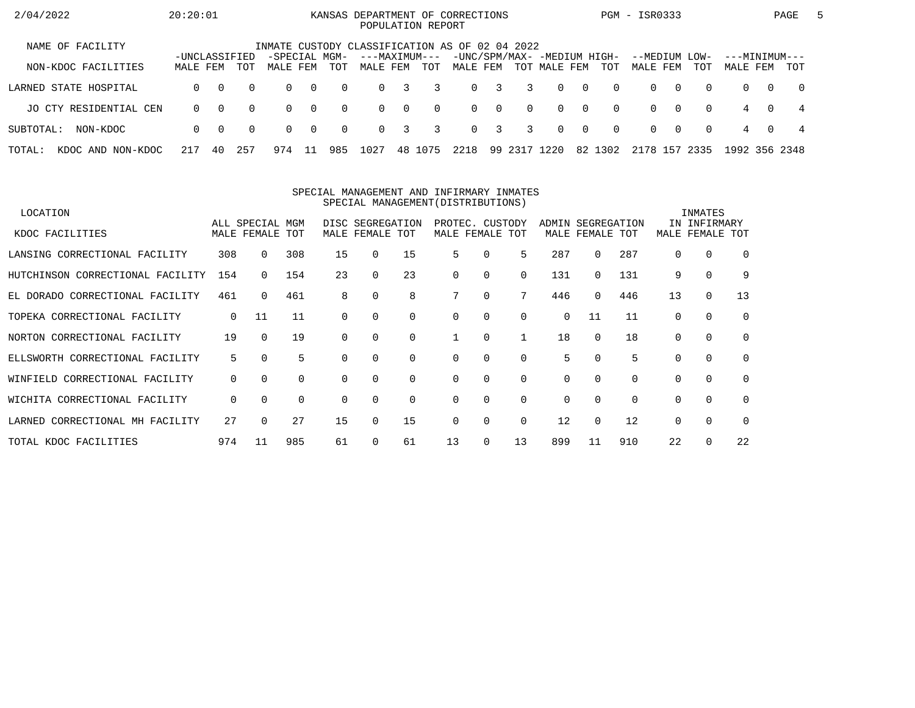| 2/04/2022                   | 20:20:01      |          |          |               |          |          | POPULATION REPORT |                |          | KANSAS DEPARTMENT OF CORRECTIONS                                              |             |          |              |                |          | PGM - ISR0333 |          |          |               |          | PAGE     | $\mathbf{b}$ |
|-----------------------------|---------------|----------|----------|---------------|----------|----------|-------------------|----------------|----------|-------------------------------------------------------------------------------|-------------|----------|--------------|----------------|----------|---------------|----------|----------|---------------|----------|----------|--------------|
| NAME OF FACILITY            | -UNCLASSIFIED |          |          | -SPECIAL MGM- |          |          | ---MAXIMUM---     |                |          | INMATE CUSTODY CLASSIFICATION AS OF 02 04 2022<br>-UNC/SPM/MAX- -MEDIUM HIGH- |             |          |              |                |          | --MEDIUM LOW- |          |          | ---MINIMUM--- |          |          |              |
| NON-KDOC FACILITIES         | MALE FEM      |          | TOT      | MALE FEM      |          | TOT      | MALE FEM          |                | TOT      | MALE FEM                                                                      |             |          | TOT MALE FEM |                | TOT      | MALE FEM      |          | TOT      | MALE FEM      |          | TOT      |              |
| LARNED STATE HOSPITAL       | $\Omega$      | $\Omega$ | $\Omega$ | $\Omega$      | $\Omega$ | $\Omega$ | $\Omega$          | 3              | 3        |                                                                               | $0 \quad 3$ | 3        | $\Omega$     | $\overline{0}$ | $\Omega$ | $\Omega$      | $\Omega$ | $\Omega$ | $\Omega$      | $\Omega$ | $\Omega$ |              |
| JO CTY RESIDENTIAL CEN      | $\Omega$      | $\Omega$ | $\Omega$ | 0             | $\Omega$ | $\Omega$ | $\Omega$          | $\overline{0}$ | $\Omega$ |                                                                               | $0\qquad 0$ | $\Omega$ | $\Omega$     | $\Omega$       | $\Omega$ | $\Omega$      | . റ      | $\Omega$ | 4             | $\Omega$ | -4       |              |
| SUBTOTAL:<br>NON-KDOC       | $\Omega$      | $\Omega$ | $\Omega$ | $\Omega$      | $\Omega$ | $\Omega$ | $\Omega$          | 3              | 3        |                                                                               | $0 \quad 3$ | 3        | $\Omega$     | $\Omega$       | $\Omega$ | $\Omega$      | $\Omega$ | $\Omega$ | 4             | $\Omega$ | 4        |              |
| TOTAL:<br>KDOC AND NON-KDOC | 217           | 40       | 257      | 974           |          | 985      | 1027              | 48             | 1075     | 2218                                                                          | 99          | 2317     | 1220         |                | 82 1302  | 2178          | 157      | 2335     | 1992 356 2348 |          |          |              |

#### SPECIAL MANAGEMENT AND INFIRMARY INMATESSPECIAL MANAGEMENT(DISTRIBUTIONS)

| LOCATION                           |             |                 |          |          |                  |          |             |          |          |          |                   |          |          | INMATES      |             |
|------------------------------------|-------------|-----------------|----------|----------|------------------|----------|-------------|----------|----------|----------|-------------------|----------|----------|--------------|-------------|
|                                    |             | ALL SPECIAL MGM |          |          | DISC SEGREGATION |          | PROTEC.     | CUSTODY  |          |          | ADMIN SEGREGATION |          |          | IN INFIRMARY |             |
| KDOC FACILITIES                    |             | MALE FEMALE TOT |          |          | MALE FEMALE TOT  |          | MALE FEMALE |          | TOT      |          | MALE FEMALE TOT   |          | MALE     | FEMALE TOT   |             |
| LANSING CORRECTIONAL FACILITY      | 308         | $\Omega$        | 308      | 15       | 0                | 15       | 5.          | $\Omega$ | 5        | 287      | 0                 | 287      | $\Omega$ | $\Omega$     | $\Omega$    |
| HUTCHINSON CORRECTIONAL FACILITY   | 154         |                 | 154      | 23       | 0                | 23       | $\Omega$    | $\Omega$ | $\Omega$ | 131      | 0                 | 131      | 9        | $\Omega$     | 9           |
| EL DORADO CORRECTIONAL FACILITY    | 461         | $\Omega$        | 461      | 8        |                  | 8        |             | 0        |          | 446      | 0                 | 446      | 13       | 0            | 13          |
| TOPEKA CORRECTIONAL FACILITY       | $\mathbf 0$ | 11              | 11       | 0        | $\Omega$         | $\Omega$ | $\Omega$    | $\Omega$ | $\Omega$ | 0        | 11                | 11       | 0        | $\Omega$     | $\mathbf 0$ |
| NORTON CORRECTIONAL FACILITY       | 19          | $\cap$          | 19       |          |                  | $\Omega$ |             | $\Omega$ |          | 18       | $\Omega$          | 18       | 0        | $\Omega$     | $\Omega$    |
| ELLSWORTH CORRECTIONAL FACILITY    | 5           | $\Omega$        | 5        |          |                  | $\Omega$ | 0           | 0        | $\Omega$ | 5        | 0                 | 5        | $\Omega$ | $\Omega$     | $\mathbf 0$ |
| CORRECTIONAL FACILITY<br>WINFIELD  | 0           | $\Omega$        | 0        | 0        | $\Omega$         | 0        | 0           | 0        | $\Omega$ | 0        | 0                 |          | 0        | $\mathbf 0$  | $\mathbf 0$ |
| WICHITA CORRECTIONAL FACILITY      | 0           | $\Omega$        | $\Omega$ | $\Omega$ | $\Omega$         | 0        | $\Omega$    | 0        | $\Omega$ | $\Omega$ | $\Omega$          | $\Omega$ | 0        | $\mathbf 0$  | $\Omega$    |
| CORRECTIONAL MH FACILITY<br>LARNED | 27          |                 | 27       | 15       | $\Omega$         | 15       | $\Omega$    | $\Omega$ | $\Omega$ | 12       | 0                 | 12       | $\Omega$ | $\Omega$     | $\Omega$    |
| TOTAL KDOC FACILITIES              | 974         | 11              | 985      | 61       |                  | 61       | 13          | 0        | 13       | 899      | 11                | 910      | 22       | $\Omega$     | 22          |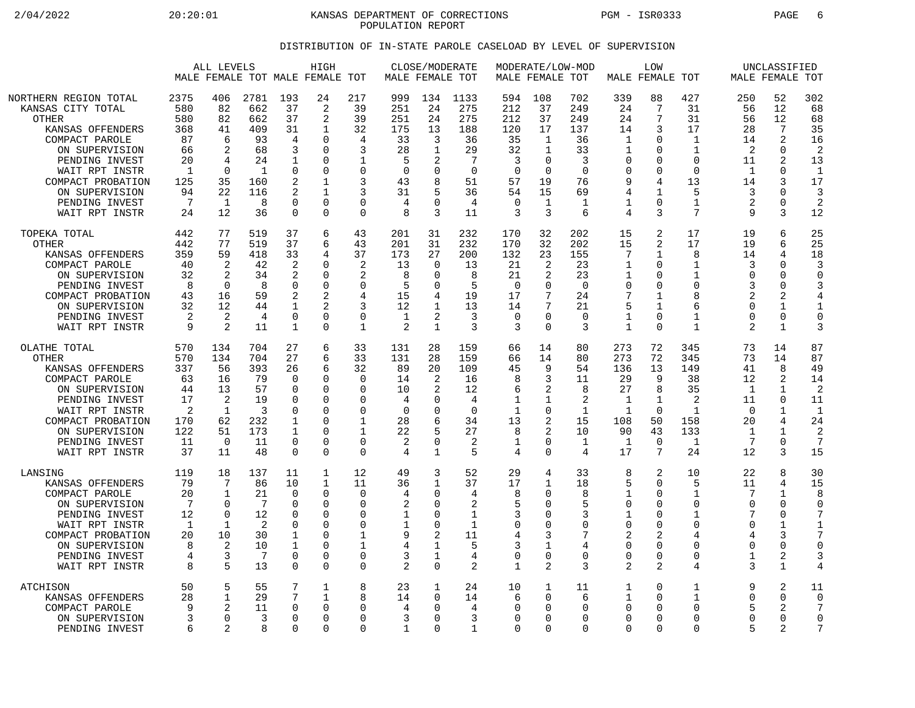2/04/2022 20:20:01 KANSAS DEPARTMENT OF CORRECTIONS PGM - ISR0333 PAGE 6 POPULATION REPORT

## DISTRIBUTION OF IN-STATE PAROLE CASELOAD BY LEVEL OF SUPERVISION

|                                                                                                                                                                                                                                   |                                                                                     | ALL LEVELS                                                                                         |                                                                           |                                                                                                     | HIGH<br>MALE FEMALE TOT MALE FEMALE TOT                                                                                      |                                                                                                          |                                                                                 | CLOSE/MODERATE<br>MALE FEMALE TOT                                               |                                                                                  |                                                                                                | MALE FEMALE TOT                                                 | MODERATE/LOW-MOD                                                                      |                                                                                 | LOW<br>MALE FEMALE TOT                                                                                 |                                                                                              |                                                                                     | UNCLASSIFIED<br>MALE FEMALE TOT                                                |                                                                                             |
|-----------------------------------------------------------------------------------------------------------------------------------------------------------------------------------------------------------------------------------|-------------------------------------------------------------------------------------|----------------------------------------------------------------------------------------------------|---------------------------------------------------------------------------|-----------------------------------------------------------------------------------------------------|------------------------------------------------------------------------------------------------------------------------------|----------------------------------------------------------------------------------------------------------|---------------------------------------------------------------------------------|---------------------------------------------------------------------------------|----------------------------------------------------------------------------------|------------------------------------------------------------------------------------------------|-----------------------------------------------------------------|---------------------------------------------------------------------------------------|---------------------------------------------------------------------------------|--------------------------------------------------------------------------------------------------------|----------------------------------------------------------------------------------------------|-------------------------------------------------------------------------------------|--------------------------------------------------------------------------------|---------------------------------------------------------------------------------------------|
| NORTHERN REGION TOTAL<br>KANSAS CITY TOTAL<br><b>OTHER</b><br>KANSAS OFFENDERS<br>COMPACT PAROLE<br>ON SUPERVISION<br>PENDING INVEST<br>WAIT RPT INSTR<br>COMPACT PROBATION<br>ON SUPERVISION<br>PENDING INVEST<br>WAIT RPT INSTR | 2375<br>580<br>580<br>368<br>87<br>66<br>20<br>$\mathbf{1}$<br>125<br>94<br>7<br>24 | 406<br>82<br>82<br>41<br>6<br>2<br>4<br>$\mathbf 0$<br>35<br>22<br>$\mathbf{1}$<br>12              | 2781<br>662<br>662<br>409<br>93<br>68<br>24<br>1<br>160<br>116<br>8<br>36 | 193<br>37<br>37<br>31<br>4<br>3<br>1<br>$\mathbf 0$<br>2<br>2<br>$\Omega$<br>$\Omega$               | 24<br>$\overline{a}$<br>2<br>$\mathbf{1}$<br>∩<br>0<br><sup>0</sup><br>$\Omega$<br>$\mathbf{1}$<br>1<br>$\Omega$<br>$\Omega$ | 217<br>39<br>39<br>32<br>4<br>3<br>1<br>$\Omega$<br>3<br>3<br>0<br>$\Omega$                              | 999<br>251<br>251<br>175<br>33<br>28<br>.5<br>$\mathbf 0$<br>43<br>31<br>4<br>8 | 134<br>24<br>24<br>13<br>3<br>1<br>2<br>0<br>8<br>5<br>$\Omega$<br>3            | 1133<br>275<br>275<br>188<br>36<br>29<br>7<br>$\mathbf 0$<br>51<br>36<br>4<br>11 | 594<br>212<br>212<br>120<br>35<br>32<br>3<br>$\overline{0}$<br>57<br>54<br>$\overline{0}$<br>3 | 108<br>37<br>37<br>17<br>1<br>1<br>0<br>0<br>19<br>15<br>1<br>3 | 702<br>249<br>249<br>137<br>36<br>33<br>3<br>$\Omega$<br>76<br>69<br>$\mathbf 1$<br>6 | 339<br>24<br>24<br>14<br>1<br>1<br>O<br>$\Omega$<br>9<br>4<br>$\mathbf{1}$<br>4 | 88<br>7<br>7<br>3<br>$\Omega$<br>0<br>$\Omega$<br>$\mathbf 0$<br>4<br>$\mathbf{1}$<br>$\mathbf 0$<br>3 | 427<br>31<br>31<br>17<br>1<br>$\mathbf{1}$<br>$\Omega$<br>$\mathbf 0$<br>13<br>5<br>1<br>7   | 250<br>56<br>56<br>28<br>14<br>2<br>11<br>1<br>14<br>3<br>2<br>9                    | 52<br>12<br>12<br>7<br>2<br>0<br>$\overline{2}$<br>0<br>3<br>0<br>0<br>3       | 302<br>68<br>68<br>35<br>16<br>$\overline{2}$<br>13<br>$\overline{1}$<br>17<br>3<br>2<br>12 |
| TOPEKA TOTAL<br>OTHER<br>KANSAS OFFENDERS<br>COMPACT PAROLE<br>ON SUPERVISION<br>PENDING INVEST<br>COMPACT PROBATION<br>ON SUPERVISION<br>PENDING INVEST<br>WAIT RPT INSTR                                                        | 442<br>442<br>359<br>40<br>32<br>8<br>43<br>32<br>2<br>9                            | 77<br>77<br>59<br>2<br>2<br>$\Omega$<br>16<br>12<br>2<br>2                                         | 519<br>519<br>418<br>42<br>34<br>8<br>59<br>44<br>4<br>11                 | 37<br>37<br>33<br>2<br>2<br>0<br>2<br>1<br>$\mathsf 0$<br>1                                         | 6<br>6<br>4<br>$\Omega$<br>$\Omega$<br>$\Omega$<br>2<br>$\Omega$<br>$\Omega$                                                 | 43<br>43<br>37<br>2<br>$\overline{2}$<br>$\Omega$<br>4<br>3<br>$\Omega$<br>$\mathbf{1}$                  | 201<br>201<br>173<br>13<br>8<br>5<br>15<br>12<br>1<br>$\overline{2}$            | 31<br>31<br>27<br>$\Omega$<br>$\Omega$<br>$\Omega$<br>4<br>2<br>$\mathbf{1}$    | 232<br>232<br>200<br>13<br>8<br>5<br>19<br>13<br>3<br>3                          | 170<br>170<br>132<br>21<br>21<br>0<br>17<br>14<br>$\mathbf 0$<br>3                             | 32<br>32<br>23<br>2<br>2<br>0<br>7<br>7<br>0<br>0               | 202<br>202<br>155<br>23<br>23<br>$\Omega$<br>24<br>21<br>$\Omega$<br>3                | 15<br>15<br>7<br>1<br>1<br>$\Omega$<br>7<br>5<br>$\mathbf{1}$<br>$\mathbf{1}$   | 2<br>2<br>$\mathbf 1$<br>$\Omega$<br>$\mathbf 0$<br>$\Omega$<br>1<br>1<br>$\Omega$<br>$\Omega$         | 17<br>17<br>8<br>$\mathbf{1}$<br>$\mathbf{1}$<br>$\Omega$<br>8<br>6<br>1<br>$\mathbf{1}$     | 19<br>19<br>14<br>3<br>$\Omega$<br>3<br>2<br>$\Omega$<br>$\Omega$<br>$\overline{2}$ | 6<br>6<br>4<br>$\Omega$<br>$\Omega$<br>$\Omega$<br>2<br>1<br>0<br>$\mathbf{1}$ | 25<br>25<br>18<br>3<br>$\Omega$<br>3<br>4<br>1<br>0<br>3                                    |
| OLATHE TOTAL<br>OTHER<br>KANSAS OFFENDERS<br>COMPACT PAROLE<br>ON SUPERVISION<br>PENDING INVEST<br>WAIT RPT INSTR<br>COMPACT PROBATION<br>ON SUPERVISION<br>PENDING INVEST<br>WAIT RPT INSTR                                      | 570<br>570<br>337<br>63<br>44<br>17<br>2<br>170<br>122<br>11<br>37                  | 134<br>134<br>56<br>16<br>13<br>$\overline{2}$<br>$\mathbf{1}$<br>62<br>51<br>$\overline{0}$<br>11 | 704<br>704<br>393<br>79<br>57<br>19<br>3<br>232<br>173<br>11<br>48        | 27<br>27<br>26<br>$\Omega$<br>$\Omega$<br>$\Omega$<br>$\Omega$<br>1<br>1<br>$\Omega$<br>$\Omega$    | 6<br>6<br>6<br>$\Omega$<br>$\Omega$<br>$\Omega$<br>$\Omega$<br>0<br>O<br>$\Omega$<br>$\Omega$                                | 33<br>33<br>32<br>$\Omega$<br>$\Omega$<br>$\Omega$<br>$\Omega$<br>$\mathbf{1}$<br>1<br>0<br>$\Omega$     | 131<br>131<br>89<br>14<br>10<br>4<br>$\Omega$<br>28<br>22<br>2<br>4             | 28<br>28<br>20<br>2<br>2<br>$\Omega$<br>$\Omega$<br>6<br>5<br>0<br>$\mathbf{1}$ | 159<br>159<br>109<br>16<br>12<br>4<br>$\Omega$<br>34<br>27<br>2<br>5             | 66<br>66<br>45<br>8<br>6<br>1<br>$\mathbf 1$<br>13<br>8<br>1<br>4                              | 14<br>14<br>9<br>3<br>2<br>1<br>0<br>2<br>2<br>0<br>$\Omega$    | 80<br>80<br>54<br>11<br>8<br>2<br>1<br>15<br>10<br>1<br>$\overline{4}$                | 273<br>273<br>136<br>29<br>27<br>1<br>$\mathbf{1}$<br>108<br>90<br>1<br>17      | 72<br>72<br>13<br>9<br>8<br>$\mathbf{1}$<br>$\Omega$<br>50<br>43<br>$\overline{0}$<br>7                | 345<br>345<br>149<br>38<br>35<br>$\overline{2}$<br>$\mathbf{1}$<br>158<br>133<br>1<br>24     | 73<br>73<br>41<br>12<br>$\mathbf{1}$<br>11<br>$\Omega$<br>20<br>1<br>7<br>12        | 14<br>14<br>8<br>2<br>$\mathbf{1}$<br>0<br>1<br>4<br>1<br>0<br>3               | 87<br>87<br>49<br>14<br>$\mathcal{D}$<br>11<br>$\mathbf{1}$<br>24<br>2<br>7<br>15           |
| LANSING<br>KANSAS OFFENDERS<br>COMPACT PAROLE<br>ON SUPERVISION<br>PENDING INVEST<br>WAIT RPT INSTR<br>COMPACT PROBATION<br>ON SUPERVISION<br>PENDING INVEST<br>WAIT RPT INSTR                                                    | 119<br>79<br>20<br>7<br>12<br>$\mathbf{1}$<br>20<br>8<br>4<br>8                     | 18<br>7<br>1<br>0<br>$\mathbf 0$<br>$\mathbf{1}$<br>10<br>$\overline{2}$<br>3<br>5                 | 137<br>86<br>21<br>7<br>12<br>$\overline{2}$<br>30<br>10<br>7<br>13       | 11<br>10<br>$\mathbf 0$<br>$\Omega$<br>$\Omega$<br>0<br>1<br>$\mathbf 1$<br>$\Omega$<br>$\mathbf 0$ | $\mathbf{1}$<br>$\mathbf{1}$<br>$\Omega$<br>$\Omega$<br>$\Omega$<br>$\Omega$<br>$\Omega$<br>$\Omega$<br>$\Omega$<br>$\Omega$ | 12<br>11<br>$\mathbf 0$<br>$\Omega$<br>$\Omega$<br>$\Omega$<br>$\mathbf{1}$<br>1<br>$\Omega$<br>$\Omega$ | 49<br>36<br>4<br>2<br>1<br>$\mathbf 1$<br>9<br>4<br>3<br>2                      | 3<br>$\mathbf{1}$<br>0<br><sup>0</sup><br>0<br>0<br>2<br>1<br>1<br>$\Omega$     | 52<br>37<br>4<br>2<br>1<br>$\mathbf{1}$<br>11<br>5<br>4<br>2                     | 29<br>17<br>8<br>5<br>3<br>$\mathbf 0$<br>4<br>3<br>$\overline{0}$<br>$\mathbf 1$              | 4<br>1<br>0<br>0<br>0<br>0<br>3<br>1<br>0<br>2                  | 33<br>18<br>8<br>5<br>3<br>$\Omega$<br>7<br>$\overline{4}$<br>$\Omega$<br>3           | 8<br>5<br>$\mathbf{1}$<br>$\Omega$<br>1<br>0<br>2<br>0<br>$\Omega$<br>2         | 2<br>$\Omega$<br>$\mathbf 0$<br>$\Omega$<br>0<br>0<br>2<br>$\mathbf 0$<br>$\Omega$<br>$\overline{2}$   | 10<br>5<br>$\mathbf{1}$<br>$\Omega$<br>1<br>$\mathbf 0$<br>4<br>$\mathbf 0$<br>$\Omega$<br>4 | 22<br>11<br>7<br>$\Omega$<br>7<br>$\Omega$<br>4<br>$\Omega$<br>1<br>3               | 8<br>4<br>$\mathbf{1}$<br>$\Omega$<br>0<br>1<br>3<br>0<br>2<br>$\mathbf{1}$    | 30<br>15<br>8<br>$\Omega$<br>$1\,$<br>7<br>$\Omega$<br>3<br>4                               |
| <b>ATCHISON</b><br>KANSAS OFFENDERS<br>COMPACT PAROLE<br>ON SUPERVISION<br>PENDING INVEST                                                                                                                                         | 50<br>28<br>q<br>6                                                                  | 5<br>$\mathbf 1$<br>2<br>$\Omega$<br>$\mathcal{D}$                                                 | 55<br>29<br>11<br>3<br>8                                                  | 7<br>7<br>$\Omega$<br>$\Omega$<br>$\Omega$                                                          | $\mathbf 1$<br>$\mathbf{1}$<br>$\Omega$<br>$\Omega$<br>$\Omega$                                                              | 8<br>8<br>$\Omega$<br>$\Omega$<br>$\Omega$                                                               | 23<br>14<br>4<br>3<br>$\mathbf{1}$                                              | 1<br>$\mathbf 0$<br>$\Omega$<br>$\Omega$<br>$\Omega$                            | 24<br>14<br>4<br>3<br>$\mathbf{1}$                                               | 10<br>6<br>$\Omega$<br>$\mathbf 0$<br>$\Omega$                                                 | $\mathbf 1$<br>0<br>0<br>0<br>0                                 | 11<br>6<br>∩<br>∩<br>$\Omega$                                                         | 1<br>1<br>$\Omega$<br>$\Omega$<br>$\Omega$                                      | $\mathbf 0$<br>$\Omega$<br>$\Omega$<br>$\Omega$<br>$\Omega$                                            | 1<br>$\mathbf{1}$<br>$\Omega$<br>$\Omega$<br>$\Omega$                                        | 9<br>$\mathbf 0$<br>5<br>$\Omega$<br>5                                              | 2<br>0<br>2<br>0<br>2                                                          | 11<br>$\mathbf 0$<br>7<br>$\mathbf 0$<br>7                                                  |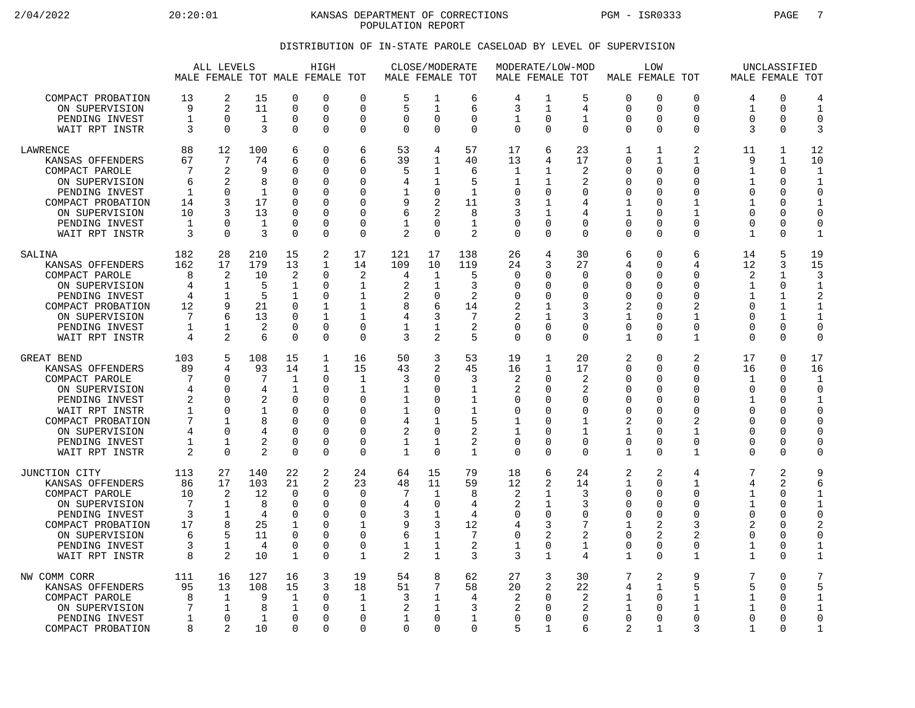2/04/2022 20:20:01 KANSAS DEPARTMENT OF CORRECTIONS PGM - ISR0333 PAGE 7 POPULATION REPORT

## DISTRIBUTION OF IN-STATE PAROLE CASELOAD BY LEVEL OF SUPERVISION

|                                                                                                                                                                                   |                                                                                      | ALL LEVELS                                                                        |                                                                                   |                                                                                                            | HIGH<br>MALE FEMALE TOT MALE FEMALE TOT                          |                                                                                       | MALE FEMALE TOT                                    | CLOSE/MODERATE                                                                                            |                                                                        | MODERATE/LOW-MOD<br>MALE FEMALE TOT                                                      |                                                                                                  |                                                                           | MALE FEMALE TOT                                                                         | LOW                                                                                                           |                                                                                                               |                                                                                            | UNCLASSIFIED<br>MALE FEMALE TOT                                                         |                                                                                                                        |
|-----------------------------------------------------------------------------------------------------------------------------------------------------------------------------------|--------------------------------------------------------------------------------------|-----------------------------------------------------------------------------------|-----------------------------------------------------------------------------------|------------------------------------------------------------------------------------------------------------|------------------------------------------------------------------|---------------------------------------------------------------------------------------|----------------------------------------------------|-----------------------------------------------------------------------------------------------------------|------------------------------------------------------------------------|------------------------------------------------------------------------------------------|--------------------------------------------------------------------------------------------------|---------------------------------------------------------------------------|-----------------------------------------------------------------------------------------|---------------------------------------------------------------------------------------------------------------|---------------------------------------------------------------------------------------------------------------|--------------------------------------------------------------------------------------------|-----------------------------------------------------------------------------------------|------------------------------------------------------------------------------------------------------------------------|
| COMPACT PROBATION                                                                                                                                                                 | 13                                                                                   | 2                                                                                 | 15                                                                                | $\mathbf 0$                                                                                                | 0                                                                | $\mathbf 0$                                                                           | 5                                                  | 1                                                                                                         | 6                                                                      | 4                                                                                        | 1                                                                                                | 5                                                                         | $\mathbf 0$                                                                             | $\mathbf 0$                                                                                                   | 0                                                                                                             | 4                                                                                          | 0                                                                                       | 4                                                                                                                      |
| ON SUPERVISION                                                                                                                                                                    | 9                                                                                    | 2                                                                                 | 11                                                                                | $\overline{0}$                                                                                             | 0                                                                | $\Omega$                                                                              | 5                                                  | $\mathbf{1}$                                                                                              | 6                                                                      | 3                                                                                        | 1                                                                                                | 4                                                                         | 0                                                                                       | $\Omega$                                                                                                      | $\Omega$                                                                                                      | $\mathbf{1}$                                                                               | $\mathbf 0$                                                                             | $\mathbf{1}$                                                                                                           |
| PENDING INVEST                                                                                                                                                                    | $\mathbf{1}$                                                                         | $\mathbf 0$                                                                       | 1                                                                                 | $\mathbf 0$                                                                                                | 0                                                                | $\mathbf 0$                                                                           | $\mathbf 0$                                        | $\mathbf 0$                                                                                               | $\Omega$                                                               | 1                                                                                        | $\mathbf 0$                                                                                      | 1                                                                         | 0                                                                                       | $\Omega$                                                                                                      | 0                                                                                                             | $\Omega$                                                                                   | 0                                                                                       | $\mathbf 0$                                                                                                            |
| WAIT RPT INSTR                                                                                                                                                                    | 3                                                                                    | $\Omega$                                                                          | 3                                                                                 | $\Omega$                                                                                                   | 0                                                                | $\mathbf 0$                                                                           | $\Omega$                                           | $\Omega$                                                                                                  | $\Omega$                                                               | $\Omega$                                                                                 | $\Omega$                                                                                         | $\Omega$                                                                  | $\Omega$                                                                                | $\Omega$                                                                                                      | 0                                                                                                             | 3                                                                                          | $\Omega$                                                                                | 3                                                                                                                      |
| <b>LAWRENCE</b>                                                                                                                                                                   | 88                                                                                   | 12                                                                                | 100                                                                               | 6                                                                                                          | 0                                                                | 6                                                                                     | 53                                                 | 4                                                                                                         | 57                                                                     | 17                                                                                       | 6                                                                                                | 23                                                                        | $\mathbf{1}$                                                                            | $\mathbf{1}$                                                                                                  | $\overline{a}$                                                                                                | 11                                                                                         | 1                                                                                       | 12                                                                                                                     |
| KANSAS OFFENDERS                                                                                                                                                                  | 67                                                                                   | 7                                                                                 | 74                                                                                | 6                                                                                                          | 0                                                                | 6                                                                                     | 39                                                 | 1                                                                                                         | 40                                                                     | 13                                                                                       | 4                                                                                                | 17                                                                        | 0                                                                                       | 1                                                                                                             | 1                                                                                                             | 9                                                                                          | 1                                                                                       | 10                                                                                                                     |
| COMPACT PAROLE                                                                                                                                                                    | 7                                                                                    | 2                                                                                 | 9                                                                                 | $\mathbf 0$                                                                                                | 0                                                                | $\Omega$                                                                              | 5                                                  | 1                                                                                                         | 6                                                                      | 1                                                                                        | $\mathbf{1}$                                                                                     | 2                                                                         | 0                                                                                       | $\Omega$                                                                                                      | 0                                                                                                             | $\mathbf{1}$                                                                               | $\mathbf 0$                                                                             | $\mathbf{1}$                                                                                                           |
| ON SUPERVISION                                                                                                                                                                    | 6                                                                                    | 2                                                                                 | 8                                                                                 | $\Omega$                                                                                                   | 0                                                                | $\Omega$                                                                              | 4                                                  | 1                                                                                                         | 5                                                                      | 1                                                                                        | 1                                                                                                | 2                                                                         | $\Omega$                                                                                | $\Omega$                                                                                                      | $\Omega$                                                                                                      | 1                                                                                          | $\Omega$                                                                                | $\mathbf{1}$                                                                                                           |
| PENDING INVEST                                                                                                                                                                    | $\mathbf{1}$                                                                         | $\mathbf 0$                                                                       | 1                                                                                 | 0                                                                                                          | 0                                                                | 0                                                                                     | 1                                                  | 0                                                                                                         | $\mathbf 1$                                                            | 0                                                                                        | $\mathbf 0$                                                                                      | 0                                                                         | 0                                                                                       | $\Omega$                                                                                                      | $\Omega$                                                                                                      | $\Omega$                                                                                   | 0                                                                                       | $\mathbf 0$                                                                                                            |
| COMPACT PROBATION                                                                                                                                                                 | 14                                                                                   | 3                                                                                 | 17                                                                                | $\Omega$                                                                                                   | 0                                                                | $\Omega$                                                                              | 9                                                  | $\overline{2}$                                                                                            | 11                                                                     | 3                                                                                        | 1                                                                                                | 4                                                                         | 1                                                                                       | $\Omega$                                                                                                      | 1                                                                                                             | 1                                                                                          | 0                                                                                       | $\mathbf{1}$                                                                                                           |
| ON SUPERVISION                                                                                                                                                                    | 10                                                                                   | 3                                                                                 | 13                                                                                | $\Omega$                                                                                                   | $\Omega$                                                         | $\Omega$                                                                              | 6                                                  | 2                                                                                                         | 8                                                                      | 3                                                                                        | 1                                                                                                | 4                                                                         | $\mathbf{1}$                                                                            | ∩                                                                                                             | 1                                                                                                             | ∩                                                                                          | 0                                                                                       | $\Omega$                                                                                                               |
| PENDING INVEST                                                                                                                                                                    | 1                                                                                    | $\mathbf 0$                                                                       | 1                                                                                 | $\mathbf 0$                                                                                                | 0                                                                | $\mathbf 0$                                                                           | 1                                                  | $\Omega$                                                                                                  | $\mathbf{1}$                                                           | $\mathbf 0$                                                                              | 0                                                                                                | 0                                                                         | $\mathbf 0$                                                                             | $\Omega$                                                                                                      | 0                                                                                                             | $\Omega$                                                                                   | 0                                                                                       | $\mathbf 0$                                                                                                            |
| WAIT RPT INSTR                                                                                                                                                                    | 3                                                                                    | $\Omega$                                                                          | 3                                                                                 | $\Omega$                                                                                                   | 0                                                                | $\Omega$                                                                              | 2                                                  | $\Omega$                                                                                                  | $\overline{2}$                                                         | $\Omega$                                                                                 | $\Omega$                                                                                         | $\Omega$                                                                  | $\Omega$                                                                                | $\Omega$                                                                                                      | 0                                                                                                             | $\mathbf{1}$                                                                               | $\Omega$                                                                                | $\mathbf{1}$                                                                                                           |
| SALINA                                                                                                                                                                            | 182                                                                                  | 28                                                                                | 210                                                                               | 15                                                                                                         | 2                                                                | 17                                                                                    | 121                                                | 17                                                                                                        | 138                                                                    | 26                                                                                       | 4                                                                                                | 30                                                                        | 6                                                                                       | $\Omega$                                                                                                      | 6                                                                                                             | 14                                                                                         | 5                                                                                       | 19                                                                                                                     |
| KANSAS OFFENDERS                                                                                                                                                                  | 162                                                                                  | 17                                                                                | 179                                                                               | 13                                                                                                         | 1                                                                | 14                                                                                    | 109                                                | 10                                                                                                        | 119                                                                    | 24                                                                                       | 3                                                                                                | 27                                                                        | 4                                                                                       | $\Omega$                                                                                                      | 4                                                                                                             | 12                                                                                         | 3                                                                                       | 15                                                                                                                     |
| COMPACT PAROLE                                                                                                                                                                    | 8                                                                                    | 2                                                                                 | 10                                                                                | $\overline{2}$                                                                                             | 0                                                                | 2                                                                                     | 4                                                  | 1                                                                                                         | 5                                                                      | 0                                                                                        | $\Omega$                                                                                         | $\Omega$                                                                  | 0                                                                                       | $\Omega$                                                                                                      | 0                                                                                                             | 2                                                                                          | 1                                                                                       | 3                                                                                                                      |
| ON SUPERVISION                                                                                                                                                                    | 4                                                                                    | 1                                                                                 | 5                                                                                 | $\mathbf 1$                                                                                                | 0                                                                | 1                                                                                     | 2                                                  | 1                                                                                                         | 3                                                                      | $\mathbf 0$                                                                              | 0                                                                                                | 0                                                                         | $\Omega$                                                                                | $\Omega$                                                                                                      | $\Omega$                                                                                                      | $\mathbf{1}$                                                                               | $\mathbf 0$                                                                             | $\mathbf{1}$                                                                                                           |
| PENDING INVEST                                                                                                                                                                    | 4                                                                                    | 1                                                                                 | 5                                                                                 | $\mathbf{1}$                                                                                               | 0                                                                | 1                                                                                     | $\overline{2}$                                     | 0                                                                                                         | 2                                                                      | 0                                                                                        | O                                                                                                | 0                                                                         | 0                                                                                       | $\Omega$                                                                                                      | $\Omega$                                                                                                      | 1                                                                                          | 1                                                                                       | $\overline{2}$                                                                                                         |
| COMPACT PROBATION                                                                                                                                                                 | 12                                                                                   | 9                                                                                 | 21                                                                                | $\mathbf 0$                                                                                                | 1                                                                | 1                                                                                     | 8                                                  | 6                                                                                                         | 14                                                                     | 2                                                                                        | 1                                                                                                | 3                                                                         | 2                                                                                       | $\Omega$                                                                                                      | $\mathfrak{D}$                                                                                                | $\Omega$                                                                                   | $\mathbf{1}$                                                                            | $\mathbf{1}$                                                                                                           |
| ON SUPERVISION                                                                                                                                                                    | 7                                                                                    | 6                                                                                 | 13                                                                                | $\Omega$                                                                                                   | 1                                                                | 1                                                                                     | 4                                                  | 3                                                                                                         | 7                                                                      | 2                                                                                        | $\mathbf{1}$                                                                                     | 3                                                                         | $\mathbf{1}$                                                                            | $\Omega$                                                                                                      | $\mathbf{1}$                                                                                                  | $\Omega$                                                                                   | $\mathbf{1}$                                                                            | $1\,$                                                                                                                  |
| PENDING INVEST                                                                                                                                                                    | 1                                                                                    | 1                                                                                 | 2                                                                                 | 0                                                                                                          | 0                                                                | 0                                                                                     | 1                                                  | 1                                                                                                         | 2                                                                      | 0                                                                                        | $\Omega$                                                                                         | $\Omega$                                                                  | 0                                                                                       | $\Omega$                                                                                                      | 0                                                                                                             | $\Omega$                                                                                   | 0                                                                                       | 0                                                                                                                      |
| WAIT RPT INSTR                                                                                                                                                                    | 4                                                                                    | 2                                                                                 | 6                                                                                 | $\Omega$                                                                                                   | 0                                                                | $\mathbf 0$                                                                           | 3                                                  | 2                                                                                                         | 5                                                                      | $\mathbf 0$                                                                              | $\Omega$                                                                                         | $\Omega$                                                                  | $\mathbf{1}$                                                                            | $\Omega$                                                                                                      | $\mathbf{1}$                                                                                                  | $\Omega$                                                                                   | $\Omega$                                                                                | $\Omega$                                                                                                               |
| GREAT BEND<br>KANSAS OFFENDERS<br>COMPACT PAROLE<br>ON SUPERVISION<br>PENDING INVEST<br>WAIT RPT INSTR<br>COMPACT PROBATION<br>ON SUPERVISION<br>PENDING INVEST<br>WAIT RPT INSTR | 103<br>89<br>7<br>4<br>2<br>$\mathbf{1}$<br>7<br>4<br>$\mathbf{1}$<br>$\overline{2}$ | 5<br>4<br>0<br>0<br>0<br>$\Omega$<br>$\mathbf{1}$<br>$\mathbf 0$<br>1<br>$\Omega$ | 108<br>93<br>7<br>4<br>2<br>$\mathbf{1}$<br>8<br>$\overline{2}$<br>$\mathfrak{D}$ | 15<br>14<br>$\mathbf 1$<br>1<br>$\mathbf 0$<br>$\Omega$<br>$\Omega$<br>$\mathbf 0$<br>$\Omega$<br>$\Omega$ | $\mathbf{1}$<br>1<br>0<br>0<br>0<br>0<br>$\Omega$<br>0<br>0<br>0 | 16<br>15<br>1<br>1<br>0<br>$\Omega$<br>$\Omega$<br>0<br>$\Omega$<br>$\Omega$          | 50<br>43<br>3<br>1<br>-1<br>4<br>2<br>$\mathbf{1}$ | 3<br>2<br>$\Omega$<br>0<br>$\Omega$<br>$\Omega$<br>1<br>$\mathbf 0$<br>1<br>$\Omega$                      | 53<br>45<br>3<br>1<br>1<br>$\mathbf{1}$<br>5<br>2<br>2<br>$\mathbf{1}$ | 19<br>16<br>2<br>$\overline{2}$<br>0<br>$\mathbf 0$<br>1<br>1<br>$\mathbf 0$<br>$\Omega$ | $\mathbf{1}$<br>$\mathbf{1}$<br>$\Omega$<br>O<br>U<br>O<br>U<br>$\Omega$<br>$\Omega$<br>$\Omega$ | 20<br>17<br>2<br>2<br>0<br>0<br>$\mathbf{1}$<br>1<br>$\Omega$<br>$\Omega$ | 2<br>$\Omega$<br>0<br>0<br>0<br>0<br>2<br>1<br>0<br>1                                   | $\Omega$<br>$\Omega$<br>$\Omega$<br>$\Omega$<br>$\Omega$<br>$\Omega$<br>∩<br>$\Omega$<br>$\Omega$<br>$\Omega$ | 2<br>0<br>$\Omega$<br>$\Omega$<br>$\Omega$<br>$\Omega$<br>$\mathfrak{D}$<br>$\mathbf{1}$<br>0<br>$\mathbf{1}$ | 17<br>16<br>1<br>$\Omega$<br>1<br>$\Omega$<br>$\Omega$<br>$\Omega$<br>$\Omega$<br>$\Omega$ | $\mathbf 0$<br>$\Omega$<br>$\mathbf 0$<br>0<br>0<br>0<br>$\Omega$<br>0<br>0<br>$\Omega$ | 17<br>16<br>$\mathbf{1}$<br>$\Omega$<br>$\mathbf{1}$<br>$\mathbf 0$<br>$\Omega$<br>$\mathbf 0$<br>$\Omega$<br>$\Omega$ |
| JUNCTION CITY<br>KANSAS OFFENDERS<br>COMPACT PAROLE<br>ON SUPERVISION<br>PENDING INVEST<br>COMPACT PROBATION<br>ON SUPERVISION<br>PENDING INVEST<br>WAIT RPT INSTR                | 113<br>86<br>10<br>7<br>3<br>17<br>6<br>3<br>8                                       | 27<br>17<br>2<br>1<br>$\mathbf{1}$<br>8<br>5<br>1<br>2                            | 140<br>103<br>12<br>8<br>4<br>25<br>11<br>4<br>10                                 | 22<br>21<br>$\mathbf 0$<br>$\Omega$<br>$\Omega$<br>$\mathbf 1$<br>$\Omega$<br>0<br>$\mathbf{1}$            | 2<br>2<br>0<br>$\Omega$<br>0<br>$\Omega$<br>$\Omega$<br>0<br>0   | 24<br>23<br>$\mathbf 0$<br>$\Omega$<br>$\Omega$<br>1<br>$\Omega$<br>0<br>$\mathbf{1}$ | 64<br>48<br>4<br>3<br>9<br>6<br>1<br>2             | 15<br>11<br>$\mathbf 1$<br>$\mathbf 0$<br>$\mathbf 1$<br>3<br>$\mathbf{1}$<br>$\mathbf 1$<br>$\mathbf{1}$ | 79<br>59<br>8<br>4<br>4<br>12<br>7<br>2<br>3                           | 18<br>12<br>2<br>2<br>0<br>4<br>$\mathbf 0$<br>1<br>3                                    | 6<br>2<br>1<br>1<br>$\Omega$<br>3<br>2<br>0<br>$\mathbf{1}$                                      | 24<br>14<br>3<br>3<br>$\Omega$<br>7<br>2<br>1<br>4                        | 2<br>1<br>$\mathbf 0$<br>$\Omega$<br>0<br>$\mathbf{1}$<br>$\Omega$<br>0<br>$\mathbf{1}$ | 2<br>$\Omega$<br>$\Omega$<br>$\Omega$<br>$\Omega$<br>2<br>$\overline{2}$<br>0<br>$\Omega$                     | 4<br>1<br>0<br>$\Omega$<br>0<br>3<br>2<br>0<br>$\mathbf{1}$                                                   | 7<br>4<br>1<br>1<br>$\Omega$<br>$\overline{2}$<br>$\Omega$<br>$\mathbf{1}$<br>1            | $\overline{a}$<br>2<br>0<br>0<br>$\Omega$<br>0<br>$\Omega$<br>0<br>$\Omega$             | 9<br>6<br>1<br>$\mathbf{1}$<br>$\Omega$<br>$\overline{2}$<br>$\mathbf 0$<br>1<br>$\mathbf{1}$                          |
| NW COMM CORR                                                                                                                                                                      | 111                                                                                  | 16                                                                                | 127                                                                               | 16                                                                                                         | 3                                                                | 19                                                                                    | 54                                                 | 8                                                                                                         | 62                                                                     | 27                                                                                       | 3                                                                                                | 30                                                                        | 7                                                                                       | $\overline{2}$                                                                                                | 9                                                                                                             | 7                                                                                          | 0                                                                                       | 7                                                                                                                      |
| KANSAS OFFENDERS                                                                                                                                                                  | 95                                                                                   | 13                                                                                | 108                                                                               | 15                                                                                                         | 3                                                                | 18                                                                                    | 51                                                 | 7                                                                                                         | 58                                                                     | 20                                                                                       | 2                                                                                                | 22                                                                        | 4                                                                                       | 1                                                                                                             | 5                                                                                                             | 5                                                                                          | 0                                                                                       | 5                                                                                                                      |
| COMPACT PAROLE                                                                                                                                                                    | 8                                                                                    | $\mathbf{1}$                                                                      | 9                                                                                 | $\mathbf 1$                                                                                                | 0                                                                | $\mathbf{1}$                                                                          | 3                                                  | $\mathbf{1}$                                                                                              | $\overline{4}$                                                         | 2                                                                                        | 0                                                                                                | 2                                                                         | $\mathbf{1}$                                                                            | $\Omega$                                                                                                      | $\mathbf{1}$                                                                                                  | $\mathbf{1}$                                                                               | $\mathbf 0$                                                                             | $\mathbf{1}$                                                                                                           |
| ON SUPERVISION                                                                                                                                                                    | 7                                                                                    | $\mathbf{1}$                                                                      | 8                                                                                 | $\mathbf{1}$                                                                                               | 0                                                                | 1                                                                                     | 2                                                  | $\mathbf{1}$                                                                                              | 3                                                                      | 2                                                                                        | O                                                                                                | 2                                                                         | 1                                                                                       | $\Omega$                                                                                                      | 1                                                                                                             | 1                                                                                          | $\Omega$                                                                                | 1                                                                                                                      |
| PENDING INVEST                                                                                                                                                                    | 1                                                                                    | $\Omega$                                                                          | 1                                                                                 | $\Omega$                                                                                                   | $\Omega$                                                         | $\Omega$                                                                              | 1                                                  | $\mathbf 0$                                                                                               | $\mathbf{1}$                                                           | $\mathbf 0$                                                                              | $\Omega$                                                                                         | $\Omega$                                                                  | $\mathbf 0$                                                                             | $\Omega$                                                                                                      | $\Omega$                                                                                                      | $\Omega$                                                                                   | 0                                                                                       | $\mathbf 0$                                                                                                            |
| COMPACT PROBATION                                                                                                                                                                 | 8                                                                                    | $\mathfrak{D}$                                                                    | 10                                                                                | $\Omega$                                                                                                   | $\Omega$                                                         | $\Omega$                                                                              | $\Omega$                                           | $\Omega$                                                                                                  | $\Omega$                                                               | 5                                                                                        | $\mathbf{1}$                                                                                     | 6                                                                         | 2                                                                                       | 1                                                                                                             | 3                                                                                                             | 1                                                                                          | $\Omega$                                                                                | $\mathbf{1}$                                                                                                           |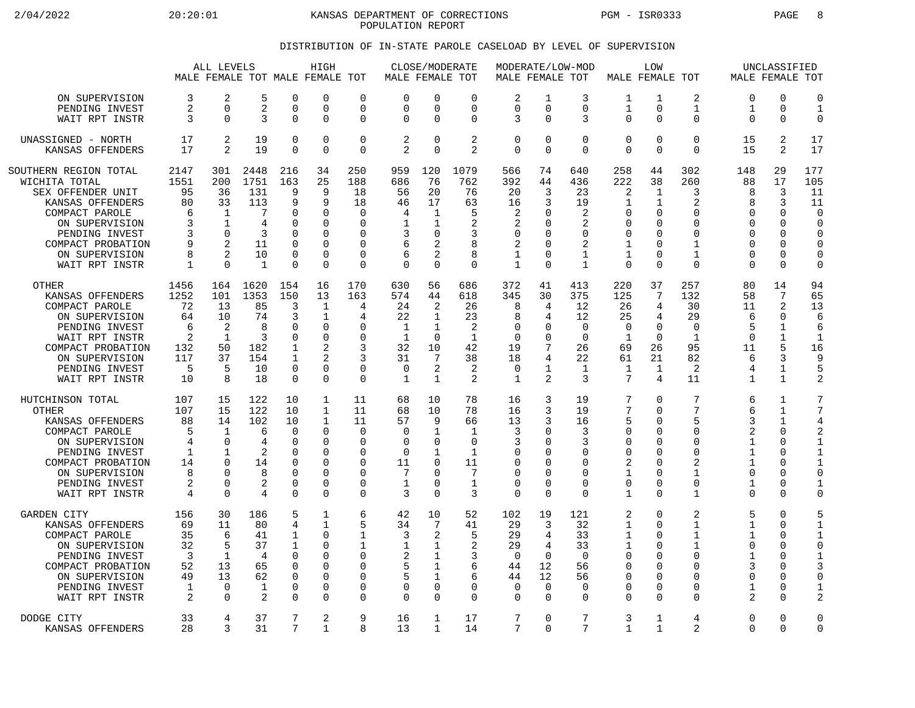2/04/2022 20:20:01 KANSAS DEPARTMENT OF CORRECTIONS PGM - ISR0333 PAGE 8 POPULATION REPORT

## DISTRIBUTION OF IN-STATE PAROLE CASELOAD BY LEVEL OF SUPERVISION

|                                                                                                                                                                                                |                                                             | ALL LEVELS                                                                               |                                                                       |                                                                                                     | HIGH<br>MALE FEMALE TOT MALE FEMALE TOT                                                           |                                                                                          | MALE FEMALE TOT                                                              |                                                                                      | CLOSE/MODERATE                                                                      |                                                                 | MODERATE/LOW-MOD<br>MALE FEMALE TOT                                                       |                                                                                  |                                                                                                 | LOW<br>MALE FEMALE TOT                                                                  |                                                                                                             |                                                                               | UNCLASSIFIED<br>MALE FEMALE TOT                                                                     |                                                                                                                      |
|------------------------------------------------------------------------------------------------------------------------------------------------------------------------------------------------|-------------------------------------------------------------|------------------------------------------------------------------------------------------|-----------------------------------------------------------------------|-----------------------------------------------------------------------------------------------------|---------------------------------------------------------------------------------------------------|------------------------------------------------------------------------------------------|------------------------------------------------------------------------------|--------------------------------------------------------------------------------------|-------------------------------------------------------------------------------------|-----------------------------------------------------------------|-------------------------------------------------------------------------------------------|----------------------------------------------------------------------------------|-------------------------------------------------------------------------------------------------|-----------------------------------------------------------------------------------------|-------------------------------------------------------------------------------------------------------------|-------------------------------------------------------------------------------|-----------------------------------------------------------------------------------------------------|----------------------------------------------------------------------------------------------------------------------|
| ON SUPERVISION                                                                                                                                                                                 | 3                                                           | $\overline{2}$                                                                           | 5                                                                     | $\Omega$                                                                                            | O                                                                                                 | $\Omega$                                                                                 | $\Omega$                                                                     | $\Omega$                                                                             | 0                                                                                   | 2                                                               | $\mathbf{1}$                                                                              | 3                                                                                | 1                                                                                               | 1                                                                                       | 2                                                                                                           | $\Omega$                                                                      | $\Omega$                                                                                            | $\mathbf 0$                                                                                                          |
| PENDING INVEST                                                                                                                                                                                 | 2                                                           | $\Omega$                                                                                 | 2                                                                     | $\mathbf 0$                                                                                         | 0                                                                                                 | $\Omega$                                                                                 | $\Omega$                                                                     | $\mathbf 0$                                                                          | 0                                                                                   | 0                                                               | $\Omega$                                                                                  | $\mathbf 0$                                                                      | 1                                                                                               | 0                                                                                       | $\mathbf 1$                                                                                                 | 1                                                                             | 0                                                                                                   | $\mathbf{1}$                                                                                                         |
| WAIT RPT INSTR                                                                                                                                                                                 | 3                                                           | $\Omega$                                                                                 | 3                                                                     | $\Omega$                                                                                            | 0                                                                                                 | $\mathbf 0$                                                                              | $\Omega$                                                                     | $\Omega$                                                                             | 0                                                                                   | 3                                                               | $\Omega$                                                                                  | 3                                                                                | $\mathbf 0$                                                                                     | $\Omega$                                                                                | 0                                                                                                           | 0                                                                             | $\Omega$                                                                                            | $\Omega$                                                                                                             |
| UNASSIGNED - NORTH                                                                                                                                                                             | 17                                                          | 2                                                                                        | 19                                                                    | $\Omega$                                                                                            | 0                                                                                                 | $\mathbf 0$                                                                              | 2                                                                            | $\mathbf 0$                                                                          | 2                                                                                   | 0                                                               | $\Omega$                                                                                  | $\mathbf 0$                                                                      | $\mathbf 0$                                                                                     | 0                                                                                       | $\mathbf 0$                                                                                                 | 15                                                                            | 2                                                                                                   | 17                                                                                                                   |
| KANSAS OFFENDERS                                                                                                                                                                               | 17                                                          | $\overline{2}$                                                                           | 19                                                                    | $\Omega$                                                                                            | 0                                                                                                 | $\mathbf 0$                                                                              | $\overline{a}$                                                               | $\Omega$                                                                             | $\overline{2}$                                                                      | 0                                                               | $\Omega$                                                                                  | $\mathbf 0$                                                                      | $\mathbf 0$                                                                                     | $\Omega$                                                                                | $\Omega$                                                                                                    | 15                                                                            | 2                                                                                                   | 17                                                                                                                   |
| SOUTHERN REGION TOTAL<br>WICHITA TOTAL<br>SEX OFFENDER UNIT<br>KANSAS OFFENDERS<br>COMPACT PAROLE<br>ON SUPERVISION<br>PENDING INVEST<br>COMPACT PROBATION<br>ON SUPERVISION<br>WAIT RPT INSTR | 2147<br>1551<br>95<br>80<br>6<br>3<br>ζ<br>9<br>8<br>1      | 301<br>200<br>36<br>33<br>$\mathbf{1}$<br>1<br>$\Omega$<br>$\overline{2}$<br>2<br>∩      | 2448<br>1751<br>131<br>113<br>7<br>4<br>3<br>11<br>10<br>$\mathbf{1}$ | 216<br>163<br>9<br>9<br>$\cap$<br>$\Omega$<br>$\Omega$<br>$\Omega$<br>$\mathbf 0$<br>$\Omega$       | 34<br>25<br>9<br>9<br>$\Omega$<br>O<br>0<br>O<br>0<br>O                                           | 250<br>188<br>18<br>18<br>∩<br>0<br><sup>0</sup><br>$\Omega$<br>$\mathbf 0$<br>$\Omega$  | 959<br>686<br>56<br>46<br>4<br>1<br>3<br>6<br>6<br>$\Omega$                  | 120<br>76<br>20<br>17<br>1<br>1<br>$\Omega$<br>2<br>2<br>$\Omega$                    | 1079<br>762<br>76<br>63<br>5<br>2<br>3<br>8<br>8<br>0                               | 566<br>392<br>20<br>16<br>2<br>2<br>0<br>2<br>1<br>$\mathbf{1}$ | 74<br>44<br>3<br>3<br><sup>0</sup><br>$\Omega$<br>$\Omega$<br>$\Omega$<br>$\Omega$        | 640<br>436<br>23<br>19<br>2<br>2<br>$\mathbf 0$<br>2<br>1<br>$\mathbf{1}$        | 258<br>222<br>2<br>1<br>$\Omega$<br>0<br>$\mathbf 0$<br>$\mathbf{1}$<br>1<br>$\Omega$           | 44<br>38<br>$\mathbf{1}$<br>1<br>$\Omega$<br>0<br>O<br>U<br>0<br>$\Omega$               | 302<br>260<br>3<br>$\overline{2}$<br>$\Omega$<br>$\Omega$<br>$\Omega$<br>1<br>$\mathbf{1}$<br>$\Omega$      | 148<br>88<br>8<br>8<br>$\Omega$<br>$\Omega$<br>$\Omega$<br>U<br>O<br>$\Omega$ | 29<br>17<br>3<br>3<br>$\Omega$<br>0<br>$\Omega$<br>$\Omega$<br>0<br>$\Omega$                        | 177<br>105<br>11<br>11<br>$\bigcap$<br>$\Omega$<br>$\Omega$<br>$\Omega$<br>$\mathbf 0$<br>$\Omega$                   |
| <b>OTHER</b><br>KANSAS OFFENDERS<br>COMPACT PAROLE<br>ON SUPERVISION<br>PENDING INVEST<br>WAIT RPT INSTR<br>COMPACT PROBATION<br>ON SUPERVISION<br>PENDING INVEST<br>WAIT RPT INSTR            | 1456<br>1252<br>72<br>64<br>6<br>2<br>132<br>117<br>5<br>10 | 164<br>101<br>13<br>10<br>2<br>$\mathbf{1}$<br>50<br>37<br>5<br>8                        | 1620<br>1353<br>85<br>74<br>8<br>3<br>182<br>154<br>10<br>18          | 154<br>150<br>3<br>3<br>$\Omega$<br>$\mathbf 0$<br>$\mathbf 1$<br>1<br>$\mathbf 0$<br>$\mathbf 0$   | 16<br>13<br>$\mathbf{1}$<br>$\mathbf{1}$<br>$\Omega$<br>O<br>$\overline{2}$<br>2<br>0<br>$\Omega$ | 170<br>163<br>4<br>4<br><sup>0</sup><br>$\Omega$<br>3<br>3<br>0<br>$\Omega$              | 630<br>574<br>24<br>22<br>1<br>$\mathbf{1}$<br>32<br>31<br>0<br>$\mathbf{1}$ | 56<br>44<br>2<br>1<br>1<br>$\mathbf 0$<br>10<br>$7\phantom{.0}$<br>2<br>$\mathbf{1}$ | 686<br>618<br>26<br>23<br>2<br>$\mathbf{1}$<br>42<br>38<br>2<br>2                   | 372<br>345<br>8<br>8<br>O<br>0<br>19<br>18<br>0<br>$\mathbf{1}$ | 41<br>30<br>4<br>4<br><sup>0</sup><br>$\Omega$<br>4<br>1<br>$\overline{a}$                | 413<br>375<br>12<br>12<br>$\Omega$<br>$\overline{0}$<br>26<br>22<br>1<br>3       | 220<br>125<br>26<br>25<br>$\Omega$<br>$\mathbf{1}$<br>69<br>61<br>1<br>$7\phantom{.0}$          | 37<br>7<br>4<br>4<br>$\Omega$<br>$\Omega$<br>26<br>21<br>$\mathbf{1}$<br>$\overline{4}$ | 257<br>132<br>30<br>29<br>$\Omega$<br>1<br>95<br>82<br>2<br>11                                              | 80<br>58<br>11<br>6<br>5<br>$\Omega$<br>11<br>6<br>4<br>$\mathbf{1}$          | 14<br>7<br>2<br>$\Omega$<br>$\mathbf{1}$<br>1<br>5<br>3<br>1<br>$\mathbf{1}$                        | 94<br>65<br>13<br>6<br>6<br>$\mathbf 1$<br>16<br>9<br>5<br>$\overline{2}$                                            |
| HUTCHINSON TOTAL<br><b>OTHER</b><br>KANSAS OFFENDERS<br>COMPACT PAROLE<br>ON SUPERVISION<br>PENDING INVEST<br>COMPACT PROBATION<br>ON SUPERVISION<br>PENDING INVEST<br>WAIT RPT INSTR          | 107<br>107<br>88<br>5<br>4<br>1<br>14<br>8<br>2<br>4        | 15<br>15<br>14<br>1<br>$\Omega$<br>$\mathbf{1}$<br>$\Omega$<br>∩<br>$\Omega$<br>$\Omega$ | 122<br>122<br>102<br>6<br>4<br>2<br>14<br>8<br>2<br>4                 | 10<br>10<br>10<br>$\Omega$<br>$\cap$<br>$\Omega$<br>$\Omega$<br>$\Omega$<br>$\mathbf 0$<br>$\Omega$ | $\mathbf{1}$<br>$\mathbf{1}$<br>$\mathbf 1$<br>0<br>$\Omega$<br>O<br>0<br>$\Omega$<br>0<br>O      | 11<br>11<br>11<br>$\Omega$<br><sup>0</sup><br>0<br>$\Omega$<br>$\Omega$<br>0<br>$\Omega$ | 68<br>68<br>57<br>$\Omega$<br>$\Omega$<br>0<br>11<br>7<br>1<br>3             | 10<br>10<br>9<br>1<br>$\Omega$<br>1<br>$\Omega$<br>$\Omega$<br>0<br>$\Omega$         | 78<br>78<br>66<br>$\mathbf{1}$<br>0<br>$\mathbf{1}$<br>11<br>7<br>$\mathbf{1}$<br>3 | 16<br>16<br>13<br>3<br>3<br>0<br>$\Omega$<br>0<br>0<br>0        | 3<br>3<br>3<br>$\Omega$<br><sup>0</sup><br>$\cap$<br><sup>0</sup><br>$\Omega$<br>$\Omega$ | 19<br>19<br>16<br>3<br>3<br>0<br>$\Omega$<br>$\Omega$<br>$\mathbf 0$<br>$\Omega$ | 7<br>7<br>5<br>$\mathbf 0$<br>$\Omega$<br>$\mathbf 0$<br>2<br>$\mathbf{1}$<br>0<br>$\mathbf{1}$ | 0<br>$\Omega$<br>U<br>$\Omega$<br>U<br>U<br>$\Omega$<br>U<br>0<br>$\Omega$              | 7<br>7<br>5<br>$\mathbf 0$<br>$\Omega$<br>$\mathbf 0$<br>$\overline{2}$<br>$\mathbf{1}$<br>$\mathbf 0$<br>1 | 6<br>6<br>ζ<br>2<br>1<br>$\mathbf 1$<br>1<br>$\Omega$<br>$\mathbf{1}$<br>U    | $\mathbf{1}$<br>1<br>1<br>$\Omega$<br>$\Omega$<br>$\Omega$<br>$\Omega$<br>$\Omega$<br>0<br>$\Omega$ | 7<br>7<br>4<br>$\overline{2}$<br>$\mathbf{1}$<br>$\mathbf{1}$<br>$\mathbf{1}$<br>$\Omega$<br>$\mathbf 1$<br>$\Omega$ |
| GARDEN CITY                                                                                                                                                                                    | 156                                                         | 30                                                                                       | 186                                                                   | 5                                                                                                   | 1                                                                                                 | 6                                                                                        | 42                                                                           | 10                                                                                   | 52                                                                                  | 102                                                             | 19                                                                                        | 121                                                                              | 2                                                                                               | $\Omega$                                                                                | 2                                                                                                           | 5                                                                             | $\Omega$                                                                                            | 5                                                                                                                    |
| KANSAS OFFENDERS                                                                                                                                                                               | 69                                                          | 11                                                                                       | 80                                                                    | 4                                                                                                   | 1                                                                                                 | 5                                                                                        | 34                                                                           | 7                                                                                    | 41                                                                                  | 29                                                              | 3                                                                                         | 32                                                                               | 1                                                                                               | $\Omega$                                                                                | 1                                                                                                           | 1                                                                             | $\Omega$                                                                                            | $\mathbf{1}$                                                                                                         |
| COMPACT PAROLE                                                                                                                                                                                 | 35                                                          | 6                                                                                        | 41                                                                    | $\mathbf{1}$                                                                                        | $\Omega$                                                                                          | $\mathbf{1}$                                                                             | 3                                                                            | 2                                                                                    | 5                                                                                   | 29                                                              | 4                                                                                         | 33                                                                               | $\mathbf 1$                                                                                     | $\Omega$                                                                                | $\mathbf{1}$                                                                                                | $\mathbf{1}$                                                                  | $\Omega$                                                                                            | $\mathbf{1}$                                                                                                         |
| ON SUPERVISION                                                                                                                                                                                 | 32                                                          | 5                                                                                        | 37                                                                    | $\mathbf 1$                                                                                         | 0                                                                                                 | 1                                                                                        | 1                                                                            | 1                                                                                    | 2                                                                                   | 29                                                              | 4                                                                                         | 33                                                                               | 1                                                                                               | 0                                                                                       | $\mathbf{1}$                                                                                                | 0                                                                             | $\Omega$                                                                                            | $\overline{0}$                                                                                                       |
| PENDING INVEST                                                                                                                                                                                 | 3                                                           | 1                                                                                        | 4                                                                     | $\Omega$                                                                                            | O                                                                                                 | $\Omega$                                                                                 | 2                                                                            | 1                                                                                    | 3                                                                                   | $\Omega$                                                        | $\Omega$                                                                                  | $\Omega$                                                                         | $\Omega$                                                                                        | U                                                                                       | $\Omega$                                                                                                    | $\mathbf{1}$                                                                  | $\Omega$                                                                                            | $\mathbf{1}$                                                                                                         |
| COMPACT PROBATION                                                                                                                                                                              | 52                                                          | 13                                                                                       | 65                                                                    | $\Omega$                                                                                            | 0                                                                                                 | $\Omega$                                                                                 | 5                                                                            | 1                                                                                    | 6                                                                                   | 44                                                              | 12                                                                                        | 56                                                                               | $\mathbf 0$                                                                                     | U                                                                                       | $\mathbf 0$                                                                                                 | 3                                                                             | $\Omega$                                                                                            | 3                                                                                                                    |
| ON SUPERVISION                                                                                                                                                                                 | 49                                                          | 13                                                                                       | 62                                                                    | $\Omega$                                                                                            | 0                                                                                                 | $\mathbf 0$                                                                              | 5                                                                            | 1                                                                                    | 6                                                                                   | 44                                                              | 12                                                                                        | 56                                                                               | $\mathbf 0$                                                                                     | 0                                                                                       | $\mathbf 0$                                                                                                 | 0                                                                             | 0                                                                                                   | $\mathbf 0$                                                                                                          |
| PENDING INVEST                                                                                                                                                                                 | 1                                                           | $\Omega$                                                                                 | $\mathbf{1}$                                                          | $\Omega$                                                                                            | O                                                                                                 | $\Omega$                                                                                 | $\Omega$                                                                     | $\Omega$                                                                             | $\Omega$                                                                            | $\Omega$                                                        | $\Omega$                                                                                  | $\Omega$                                                                         | $\mathbf 0$                                                                                     | 0                                                                                       | $\Omega$                                                                                                    | 1                                                                             | $\Omega$                                                                                            | $\mathbf{1}$                                                                                                         |
| WAIT RPT INSTR                                                                                                                                                                                 | 2                                                           | $\Omega$                                                                                 | 2                                                                     | $\Omega$                                                                                            | U                                                                                                 | 0                                                                                        | $\Omega$                                                                     | $\Omega$                                                                             | 0                                                                                   | 0                                                               | $\Omega$                                                                                  | $\Omega$                                                                         | $\mathbf 0$                                                                                     | U                                                                                       | $\Omega$                                                                                                    | 2                                                                             | $\Omega$                                                                                            | $\overline{2}$                                                                                                       |
| DODGE CITY                                                                                                                                                                                     | 33                                                          | 4                                                                                        | 37                                                                    | 7                                                                                                   | 2                                                                                                 | 9                                                                                        | 16                                                                           | 1                                                                                    | 17                                                                                  | 7                                                               | $\Omega$                                                                                  | 7                                                                                | 3                                                                                               | 1                                                                                       | 4                                                                                                           | 0                                                                             | $\Omega$                                                                                            | $\Omega$                                                                                                             |
| KANSAS OFFENDERS                                                                                                                                                                               | 28                                                          | 3                                                                                        | 31                                                                    | 7                                                                                                   | $\mathbf{1}$                                                                                      | 8                                                                                        | 13                                                                           | 1                                                                                    | 14                                                                                  | 7                                                               | $\Omega$                                                                                  | 7                                                                                | $\mathbf{1}$                                                                                    | 1                                                                                       | 2                                                                                                           | $\Omega$                                                                      | $\Omega$                                                                                            | $\Omega$                                                                                                             |